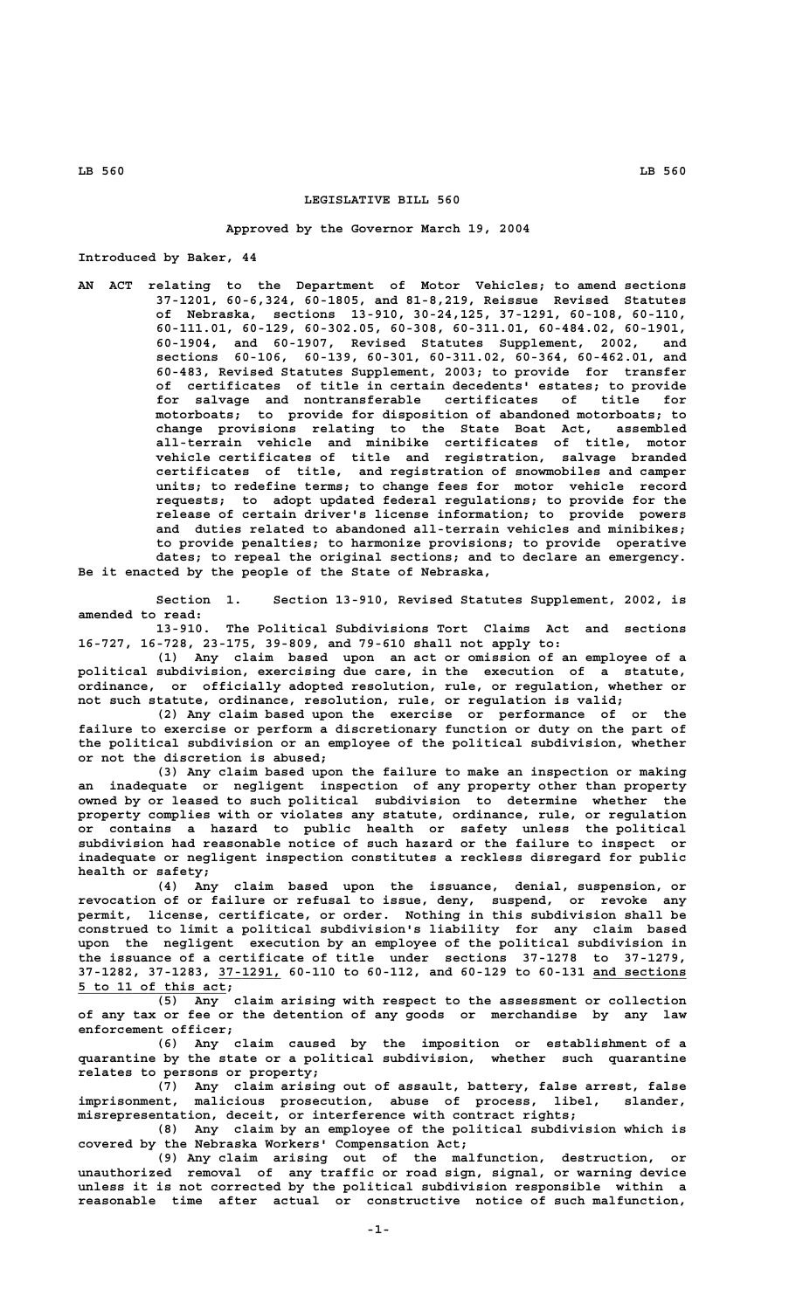## **LEGISLATIVE BILL 560**

**Approved by the Governor March 19, 2004**

**Introduced by Baker, 44**

**AN ACT relating to the Department of Motor Vehicles; to amend sections 37-1201, 60-6,324, 60-1805, and 81-8,219, Reissue Revised Statutes of Nebraska, sections 13-910, 30-24,125, 37-1291, 60-108, 60-110, 60-111.01, 60-129, 60-302.05, 60-308, 60-311.01, 60-484.02, 60-1901, 60-1904, and 60-1907, Revised Statutes Supplement, 2002, and sections 60-106, 60-139, 60-301, 60-311.02, 60-364, 60-462.01, and 60-483, Revised Statutes Supplement, 2003; to provide for transfer of certificates of title in certain decedents' estates; to provide for salvage and nontransferable certificates of title for motorboats; to provide for disposition of abandoned motorboats; to change provisions relating to the State Boat Act, assembled all-terrain vehicle and minibike certificates of title, motor vehicle certificates of title and registration, salvage branded certificates of title, and registration of snowmobiles and camper units; to redefine terms; to change fees for motor vehicle record requests; to adopt updated federal regulations; to provide for the release of certain driver's license information; to provide powers and duties related to abandoned all-terrain vehicles and minibikes; to provide penalties; to harmonize provisions; to provide operative dates; to repeal the original sections; and to declare an emergency.**

**Be it enacted by the people of the State of Nebraska,**

**Section 1. Section 13-910, Revised Statutes Supplement, 2002, is amended to read:**

**13-910. The Political Subdivisions Tort Claims Act and sections 16-727, 16-728, 23-175, 39-809, and 79-610 shall not apply to:**

**(1) Any claim based upon an act or omission of an employee of a political subdivision, exercising due care, in the execution of a statute, ordinance, or officially adopted resolution, rule, or regulation, whether or not such statute, ordinance, resolution, rule, or regulation is valid;**

**(2) Any claim based upon the exercise or performance of or the failure to exercise or perform a discretionary function or duty on the part of the political subdivision or an employee of the political subdivision, whether or not the discretion is abused;**

**(3) Any claim based upon the failure to make an inspection or making an inadequate or negligent inspection of any property other than property owned by or leased to such political subdivision to determine whether the property complies with or violates any statute, ordinance, rule, or regulation or contains a hazard to public health or safety unless the political subdivision had reasonable notice of such hazard or the failure to inspect or inadequate or negligent inspection constitutes a reckless disregard for public health or safety;**

**(4) Any claim based upon the issuance, denial, suspension, or revocation of or failure or refusal to issue, deny, suspend, or revoke any permit, license, certificate, or order. Nothing in this subdivision shall be construed to limit a political subdivision's liability for any claim based upon the negligent execution by an employee of the political subdivision in the issuance of a certificate of title under sections 37-1278 to 37-1279, \_\_\_\_\_\_\_\_ \_\_\_\_\_\_\_\_\_\_\_\_ 37-1282, 37-1283, 37-1291, 60-110 to 60-112, and 60-129 to 60-131 and sections \_\_\_\_\_\_\_\_\_\_\_\_\_\_\_\_\_\_\_ 5 to 11 of this act;**

**(5) Any claim arising with respect to the assessment or collection of any tax or fee or the detention of any goods or merchandise by any law enforcement officer;**

**(6) Any claim caused by the imposition or establishment of a quarantine by the state or a political subdivision, whether such quarantine relates to persons or property;**

**(7) Any claim arising out of assault, battery, false arrest, false imprisonment, malicious prosecution, abuse of process, libel, slander, misrepresentation, deceit, or interference with contract rights;**

**(8) Any claim by an employee of the political subdivision which is covered by the Nebraska Workers' Compensation Act;**

**(9) Any claim arising out of the malfunction, destruction, or unauthorized removal of any traffic or road sign, signal, or warning device unless it is not corrected by the political subdivision responsible within a reasonable time after actual or constructive notice of such malfunction,**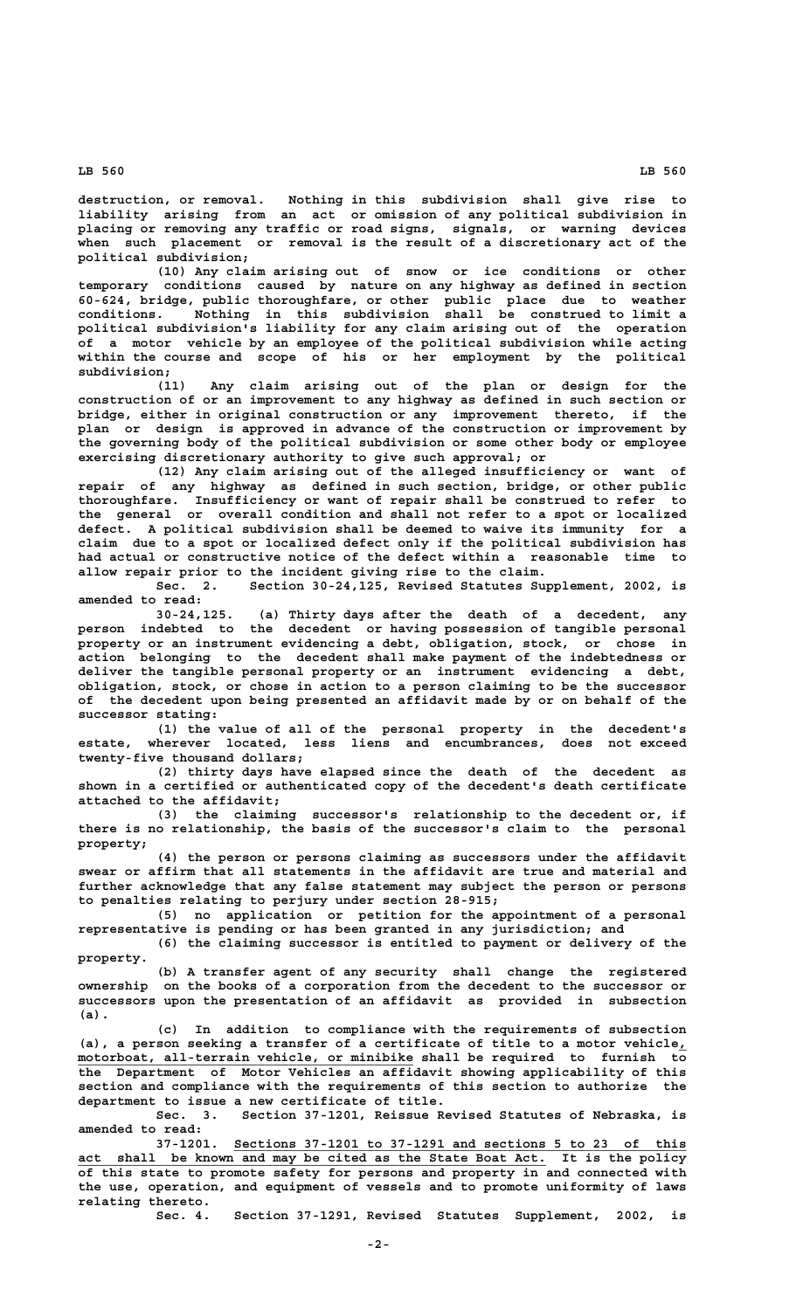**destruction, or removal. Nothing in this subdivision shall give rise to liability arising from an act or omission of any political subdivision in placing or removing any traffic or road signs, signals, or warning devices when such placement or removal is the result of a discretionary act of the political subdivision;**

**(10) Any claim arising out of snow or ice conditions or other temporary conditions caused by nature on any highway as defined in section 60-624, bridge, public thoroughfare, or other public place due to weather conditions. Nothing in this subdivision shall be construed to limit a political subdivision's liability for any claim arising out of the operation of a motor vehicle by an employee of the political subdivision while acting within the course and scope of his or her employment by the political subdivision;**

**(11) Any claim arising out of the plan or design for the construction of or an improvement to any highway as defined in such section or bridge, either in original construction or any improvement thereto, if the plan or design is approved in advance of the construction or improvement by the governing body of the political subdivision or some other body or employee exercising discretionary authority to give such approval; or**

**(12) Any claim arising out of the alleged insufficiency or want of repair of any highway as defined in such section, bridge, or other public thoroughfare. Insufficiency or want of repair shall be construed to refer to the general or overall condition and shall not refer to a spot or localized defect. A political subdivision shall be deemed to waive its immunity for a claim due to a spot or localized defect only if the political subdivision has had actual or constructive notice of the defect within a reasonable time to allow repair prior to the incident giving rise to the claim.**

**Sec. 2. Section 30-24,125, Revised Statutes Supplement, 2002, is amended to read:**

**30-24,125. (a) Thirty days after the death of a decedent, any person indebted to the decedent or having possession of tangible personal property or an instrument evidencing a debt, obligation, stock, or chose in action belonging to the decedent shall make payment of the indebtedness or deliver the tangible personal property or an instrument evidencing a debt, obligation, stock, or chose in action to a person claiming to be the successor of the decedent upon being presented an affidavit made by or on behalf of the successor stating:**

**(1) the value of all of the personal property in the decedent's estate, wherever located, less liens and encumbrances, does not exceed twenty-five thousand dollars;**

**(2) thirty days have elapsed since the death of the decedent as shown in a certified or authenticated copy of the decedent's death certificate attached to the affidavit;**

**(3) the claiming successor's relationship to the decedent or, if there is no relationship, the basis of the successor's claim to the personal property;**

**(4) the person or persons claiming as successors under the affidavit swear or affirm that all statements in the affidavit are true and material and further acknowledge that any false statement may subject the person or persons to penalties relating to perjury under section 28-915;**

**(5) no application or petition for the appointment of a personal representative is pending or has been granted in any jurisdiction; and (6) the claiming successor is entitled to payment or delivery of the**

 **property. (b) A transfer agent of any security shall change the registered ownership on the books of a corporation from the decedent to the successor or successors upon the presentation of an affidavit as provided in subsection (a).**

**(c) In addition to compliance with the requirements of subsection** (a), a person seeking a transfer of a certificate of title to a motor vehicle<sub>*i*</sub>  **\_\_\_\_\_\_\_\_\_\_\_\_\_\_\_\_\_\_\_\_\_\_\_\_\_\_\_\_\_\_\_\_\_\_\_\_\_\_\_\_\_\_\_ motorboat, all-terrain vehicle, or minibike shall be required to furnish to the Department of Motor Vehicles an affidavit showing applicability of this section and compliance with the requirements of this section to authorize the department to issue a new certificate of title.**

**Sec. 3. Section 37-1201, Reissue Revised Statutes of Nebraska, is amended to read:**

37-1201. <u>Sections 37-1201 to 37-1291 and sections 5 to 23 of this</u><br>act shall be known and may be cited as the State Boat Act. It is the policy shall be known and may be cited as the State Boat Act. It is the policy **of this state to promote safety for persons and property in and connected with the use, operation, and equipment of vessels and to promote uniformity of laws relating thereto.**

Section 37-1291, Revised Statutes Supplement, 2002, is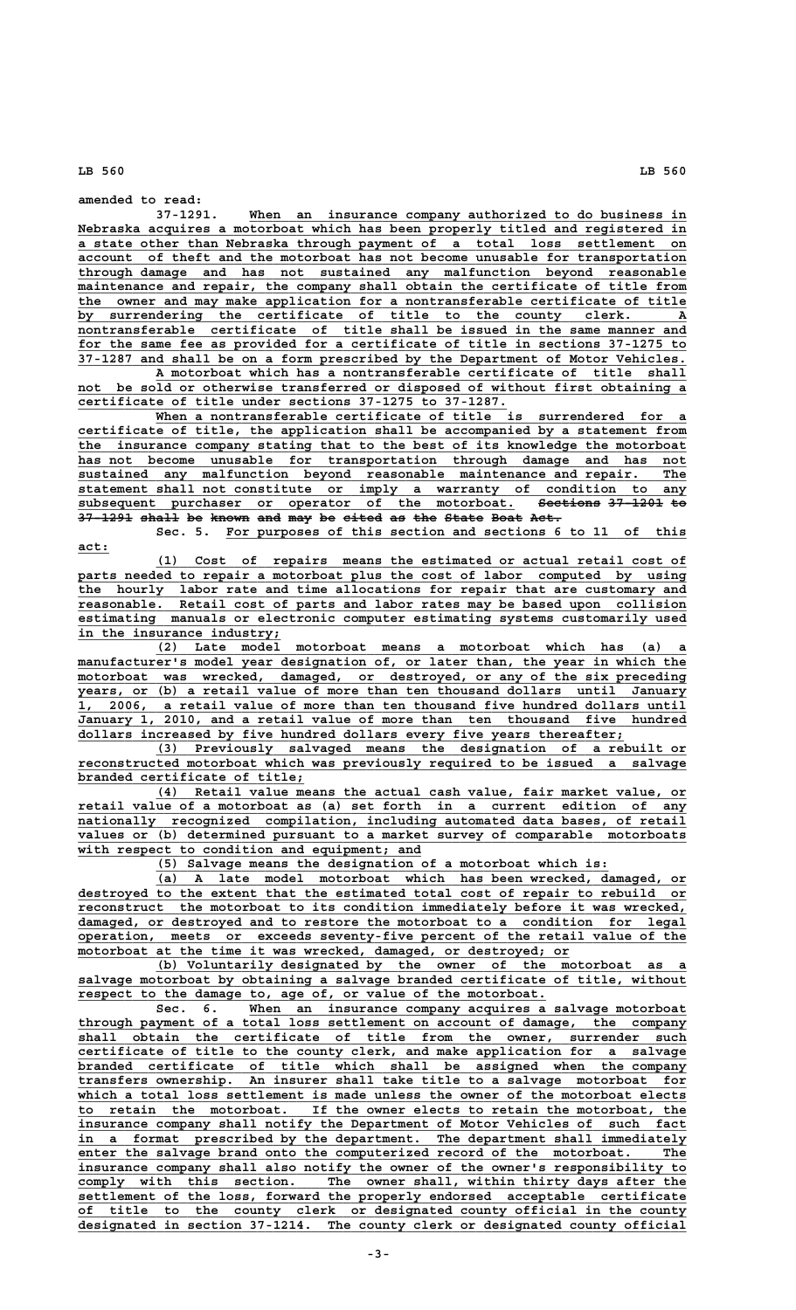**act:\_\_\_\_**

**amended to read:**

When an insurance company authorized to do business in Nebraska acquires a motorboat which has been properly titled and registered in  **\_\_\_\_\_\_\_\_\_\_\_\_\_\_\_\_\_\_\_\_\_\_\_\_\_\_\_\_\_\_\_\_\_\_\_\_\_\_\_\_\_\_\_\_\_\_\_\_\_\_\_\_\_\_\_\_\_\_\_\_\_\_\_\_\_\_\_\_\_\_\_\_\_\_\_\_\_\_ a state other than Nebraska through payment of a total loss settlement on \_\_\_\_\_\_\_\_\_\_\_\_\_\_\_\_\_\_\_\_\_\_\_\_\_\_\_\_\_\_\_\_\_\_\_\_\_\_\_\_\_\_\_\_\_\_\_\_\_\_\_\_\_\_\_\_\_\_\_\_\_\_\_\_\_\_\_\_\_\_\_\_\_\_\_\_\_\_ account of theft and the motorboat has not become unusable for transportation \_\_\_\_\_\_\_\_\_\_\_\_\_\_\_\_\_\_\_\_\_\_\_\_\_\_\_\_\_\_\_\_\_\_\_\_\_\_\_\_\_\_\_\_\_\_\_\_\_\_\_\_\_\_\_\_\_\_\_\_\_\_\_\_\_\_\_\_\_\_\_\_\_\_\_\_\_\_ through damage and has not sustained any malfunction beyond reasonable \_\_\_\_\_\_\_\_\_\_\_\_\_\_\_\_\_\_\_\_\_\_\_\_\_\_\_\_\_\_\_\_\_\_\_\_\_\_\_\_\_\_\_\_\_\_\_\_\_\_\_\_\_\_\_\_\_\_\_\_\_\_\_\_\_\_\_\_\_\_\_\_\_\_\_\_\_\_ maintenance and repair, the company shall obtain the certificate of title from \_\_\_\_\_\_\_\_\_\_\_\_\_\_\_\_\_\_\_\_\_\_\_\_\_\_\_\_\_\_\_\_\_\_\_\_\_\_\_\_\_\_\_\_\_\_\_\_\_\_\_\_\_\_\_\_\_\_\_\_\_\_\_\_\_\_\_\_\_\_\_\_\_\_\_\_\_\_ the owner and may make application for a nontransferable certificate of title \_\_\_\_\_\_\_\_\_\_\_\_\_\_\_\_\_\_\_\_\_\_\_\_\_\_\_\_\_\_\_\_\_\_\_\_\_\_\_\_\_\_\_\_\_\_\_\_\_\_\_\_\_\_\_\_\_\_\_\_\_\_\_\_\_\_\_\_\_\_\_\_\_\_\_\_\_\_ by surrendering the certificate of title to the county clerk. A \_\_\_\_\_\_\_\_\_\_\_\_\_\_\_\_\_\_\_\_\_\_\_\_\_\_\_\_\_\_\_\_\_\_\_\_\_\_\_\_\_\_\_\_\_\_\_\_\_\_\_\_\_\_\_\_\_\_\_\_\_\_\_\_\_\_\_\_\_\_\_\_\_\_\_\_\_\_ nontransferable certificate of title shall be issued in the same manner and \_\_\_\_\_\_\_\_\_\_\_\_\_\_\_\_\_\_\_\_\_\_\_\_\_\_\_\_\_\_\_\_\_\_\_\_\_\_\_\_\_\_\_\_\_\_\_\_\_\_\_\_\_\_\_\_\_\_\_\_\_\_\_\_\_\_\_\_\_\_\_\_\_\_\_\_\_\_ for the same fee as provided for a certificate of title in sections 37-1275 to \_\_\_\_\_\_\_\_\_\_\_\_\_\_\_\_\_\_\_\_\_\_\_\_\_\_\_\_\_\_\_\_\_\_\_\_\_\_\_\_\_\_\_\_\_\_\_\_\_\_\_\_\_\_\_\_\_\_\_\_\_\_\_\_\_\_\_\_\_\_\_\_\_\_\_\_\_\_ 37-1287 and shall be on a form prescribed by the Department of Motor Vehicles.**

 **\_\_\_\_\_\_\_\_\_\_\_\_\_\_\_\_\_\_\_\_\_\_\_\_\_\_\_\_\_\_\_\_\_\_\_\_\_\_\_\_\_\_\_\_\_\_\_\_\_\_\_\_\_\_\_\_\_\_\_\_\_\_\_\_\_\_\_\_ A motorboat which has a nontransferable certificate of title shall \_\_\_\_\_\_\_\_\_\_\_\_\_\_\_\_\_\_\_\_\_\_\_\_\_\_\_\_\_\_\_\_\_\_\_\_\_\_\_\_\_\_\_\_\_\_\_\_\_\_\_\_\_\_\_\_\_\_\_\_\_\_\_\_\_\_\_\_\_\_\_\_\_\_\_\_\_\_ not be sold or otherwise transferred or disposed of without first obtaining a \_\_\_\_\_\_\_\_\_\_\_\_\_\_\_\_\_\_\_\_\_\_\_\_\_\_\_\_\_\_\_\_\_\_\_\_\_\_\_\_\_\_\_\_\_\_\_\_\_\_\_\_\_\_\_ certificate of title under sections 37-1275 to 37-1287.**

 **\_\_\_\_\_\_\_\_\_\_\_\_\_\_\_\_\_\_\_\_\_\_\_\_\_\_\_\_\_\_\_\_\_\_\_\_\_\_\_\_\_\_\_\_\_\_\_\_\_\_\_\_\_\_\_\_\_\_\_\_\_\_\_\_\_\_\_\_ When a nontransferable certificate of title is surrendered for a \_\_\_\_\_\_\_\_\_\_\_\_\_\_\_\_\_\_\_\_\_\_\_\_\_\_\_\_\_\_\_\_\_\_\_\_\_\_\_\_\_\_\_\_\_\_\_\_\_\_\_\_\_\_\_\_\_\_\_\_\_\_\_\_\_\_\_\_\_\_\_\_\_\_\_\_\_\_ certificate of title, the application shall be accompanied by a statement from \_\_\_\_\_\_\_\_\_\_\_\_\_\_\_\_\_\_\_\_\_\_\_\_\_\_\_\_\_\_\_\_\_\_\_\_\_\_\_\_\_\_\_\_\_\_\_\_\_\_\_\_\_\_\_\_\_\_\_\_\_\_\_\_\_\_\_\_\_\_\_\_\_\_\_\_\_\_ the insurance company stating that to the best of its knowledge the motorboat \_\_\_\_\_\_\_\_\_\_\_\_\_\_\_\_\_\_\_\_\_\_\_\_\_\_\_\_\_\_\_\_\_\_\_\_\_\_\_\_\_\_\_\_\_\_\_\_\_\_\_\_\_\_\_\_\_\_\_\_\_\_\_\_\_\_\_\_\_\_\_\_\_\_\_\_\_\_ has not become unusable for transportation through damage and has not \_\_\_\_\_\_\_\_\_\_\_\_\_\_\_\_\_\_\_\_\_\_\_\_\_\_\_\_\_\_\_\_\_\_\_\_\_\_\_\_\_\_\_\_\_\_\_\_\_\_\_\_\_\_\_\_\_\_\_\_\_\_\_\_\_\_\_\_\_\_\_\_\_\_\_\_\_\_ sustained any malfunction beyond reasonable maintenance and repair. The \_\_\_\_\_\_\_\_\_\_\_\_\_\_\_\_\_\_\_\_\_\_\_\_\_\_\_\_\_\_\_\_\_\_\_\_\_\_\_\_\_\_\_\_\_\_\_\_\_\_\_\_\_\_\_\_\_\_\_\_\_\_\_\_\_\_\_\_\_\_\_\_\_\_\_\_\_\_ statement shall not constitute or imply a warranty of condition to any** subsequent purchaser or operator of the motorboat. <del>Sections 37-1201</del> to subsequent purchaser or operator of the motorboat. See<br>37-1291 shall be known and may be eited as the State Boat Act.

Sec. 5. For purposes of this section and sections 6 to 11 of this

 **\_\_\_\_\_\_\_\_\_\_\_\_\_\_\_\_\_\_\_\_\_\_\_\_\_\_\_\_\_\_\_\_\_\_\_\_\_\_\_\_\_\_\_\_\_\_\_\_\_\_\_\_\_\_\_\_\_\_\_\_\_\_\_\_\_\_\_\_ (1) Cost of repairs means the estimated or actual retail cost of \_\_\_\_\_\_\_\_\_\_\_\_\_\_\_\_\_\_\_\_\_\_\_\_\_\_\_\_\_\_\_\_\_\_\_\_\_\_\_\_\_\_\_\_\_\_\_\_\_\_\_\_\_\_\_\_\_\_\_\_\_\_\_\_\_\_\_\_\_\_\_\_\_\_\_\_\_\_ parts needed to repair a motorboat plus the cost of labor computed by using \_\_\_\_\_\_\_\_\_\_\_\_\_\_\_\_\_\_\_\_\_\_\_\_\_\_\_\_\_\_\_\_\_\_\_\_\_\_\_\_\_\_\_\_\_\_\_\_\_\_\_\_\_\_\_\_\_\_\_\_\_\_\_\_\_\_\_\_\_\_\_\_\_\_\_\_\_\_ the hourly labor rate and time allocations for repair that are customary and \_\_\_\_\_\_\_\_\_\_\_\_\_\_\_\_\_\_\_\_\_\_\_\_\_\_\_\_\_\_\_\_\_\_\_\_\_\_\_\_\_\_\_\_\_\_\_\_\_\_\_\_\_\_\_\_\_\_\_\_\_\_\_\_\_\_\_\_\_\_\_\_\_\_\_\_\_\_ reasonable. Retail cost of parts and labor rates may be based upon collision \_\_\_\_\_\_\_\_\_\_\_\_\_\_\_\_\_\_\_\_\_\_\_\_\_\_\_\_\_\_\_\_\_\_\_\_\_\_\_\_\_\_\_\_\_\_\_\_\_\_\_\_\_\_\_\_\_\_\_\_\_\_\_\_\_\_\_\_\_\_\_\_\_\_\_\_\_\_ estimating manuals or electronic computer estimating systems customarily used**

in the insurance industry;<br>(2) Late model  **\_\_\_\_\_\_\_\_\_\_\_\_\_\_\_\_\_\_\_\_\_\_\_\_\_\_\_\_\_\_\_\_\_\_\_\_\_\_\_\_\_\_\_\_\_\_\_\_\_\_\_\_\_\_\_\_\_\_\_\_\_\_\_\_\_\_\_\_ (2) Late model motorboat means a motorboat which has (a) a \_\_\_\_\_\_\_\_\_\_\_\_\_\_\_\_\_\_\_\_\_\_\_\_\_\_\_\_\_\_\_\_\_\_\_\_\_\_\_\_\_\_\_\_\_\_\_\_\_\_\_\_\_\_\_\_\_\_\_\_\_\_\_\_\_\_\_\_\_\_\_\_\_\_\_\_\_\_ manufacturer's model year designation of, or later than, the year in which the**  $motorboat$  was wrecked, damaged, or destroyed, or any of the six preceding  **\_\_\_\_\_\_\_\_\_\_\_\_\_\_\_\_\_\_\_\_\_\_\_\_\_\_\_\_\_\_\_\_\_\_\_\_\_\_\_\_\_\_\_\_\_\_\_\_\_\_\_\_\_\_\_\_\_\_\_\_\_\_\_\_\_\_\_\_\_\_\_\_\_\_\_\_\_\_ years, or (b) a retail value of more than ten thousand dollars until January \_\_\_\_\_\_\_\_\_\_\_\_\_\_\_\_\_\_\_\_\_\_\_\_\_\_\_\_\_\_\_\_\_\_\_\_\_\_\_\_\_\_\_\_\_\_\_\_\_\_\_\_\_\_\_\_\_\_\_\_\_\_\_\_\_\_\_\_\_\_\_\_\_\_\_\_\_\_ 1, 2006, a retail value of more than ten thousand five hundred dollars until \_\_\_\_\_\_\_\_\_\_\_\_\_\_\_\_\_\_\_\_\_\_\_\_\_\_\_\_\_\_\_\_\_\_\_\_\_\_\_\_\_\_\_\_\_\_\_\_\_\_\_\_\_\_\_\_\_\_\_\_\_\_\_\_\_\_\_\_\_\_\_\_\_\_\_\_\_\_ January 1, 2010, and a retail value of more than ten thousand five hundred \_\_\_\_\_\_\_\_\_\_\_\_\_\_\_\_\_\_\_\_\_\_\_\_\_\_\_\_\_\_\_\_\_\_\_\_\_\_\_\_\_\_\_\_\_\_\_\_\_\_\_\_\_\_\_\_\_\_\_\_\_\_\_\_\_\_\_\_\_\_ dollars increased by five hundred dollars every five years thereafter;**

 **\_\_\_\_\_\_\_\_\_\_\_\_\_\_\_\_\_\_\_\_\_\_\_\_\_\_\_\_\_\_\_\_\_\_\_\_\_\_\_\_\_\_\_\_\_\_\_\_\_\_\_\_\_\_\_\_\_\_\_\_\_\_\_\_\_\_\_\_ (3) Previously salvaged means the designation of a rebuilt or \_\_\_\_\_\_\_\_\_\_\_\_\_\_\_\_\_\_\_\_\_\_\_\_\_\_\_\_\_\_\_\_\_\_\_\_\_\_\_\_\_\_\_\_\_\_\_\_\_\_\_\_\_\_\_\_\_\_\_\_\_\_\_\_\_\_\_\_\_\_\_\_\_\_\_\_\_\_ reconstructed motorboat which was previously required to be issued a salvage \_\_\_\_\_\_\_\_\_\_\_\_\_\_\_\_\_\_\_\_\_\_\_\_\_\_\_\_\_ branded certificate of title;**

 **\_\_\_\_\_\_\_\_\_\_\_\_\_\_\_\_\_\_\_\_\_\_\_\_\_\_\_\_\_\_\_\_\_\_\_\_\_\_\_\_\_\_\_\_\_\_\_\_\_\_\_\_\_\_\_\_\_\_\_\_\_\_\_\_\_\_\_\_ (4) Retail value means the actual cash value, fair market value, or \_\_\_\_\_\_\_\_\_\_\_\_\_\_\_\_\_\_\_\_\_\_\_\_\_\_\_\_\_\_\_\_\_\_\_\_\_\_\_\_\_\_\_\_\_\_\_\_\_\_\_\_\_\_\_\_\_\_\_\_\_\_\_\_\_\_\_\_\_\_\_\_\_\_\_\_\_\_ retail value of a motorboat as (a) set forth in a current edition of any**  $nationally recognized compilation, including automated data bases, of retail$ </u>  $\overline{values\ or\ (b)}$  determined pursuant to a market survey of comparable motorboats  **\_\_\_\_\_\_\_\_\_\_\_\_\_\_\_\_\_\_\_\_\_\_\_\_\_\_\_\_\_\_\_\_\_\_\_\_\_\_\_\_\_\_\_\_ with respect to condition and equipment; and**

 **\_\_\_\_\_\_\_\_\_\_\_\_\_\_\_\_\_\_\_\_\_\_\_\_\_\_\_\_\_\_\_\_\_\_\_\_\_\_\_\_\_\_\_\_\_\_\_\_\_\_\_\_\_\_\_\_\_\_ (5) Salvage means the designation of a motorboat which is:**

 **\_\_\_\_\_\_\_\_\_\_\_\_\_\_\_\_\_\_\_\_\_\_\_\_\_\_\_\_\_\_\_\_\_\_\_\_\_\_\_\_\_\_\_\_\_\_\_\_\_\_\_\_\_\_\_\_\_\_\_\_\_\_\_\_\_\_\_\_ (a) A late model motorboat which has been wrecked, damaged, or** destroyed to the extent that the estimated total cost of repair to rebuild or  **\_\_\_\_\_\_\_\_\_\_\_\_\_\_\_\_\_\_\_\_\_\_\_\_\_\_\_\_\_\_\_\_\_\_\_\_\_\_\_\_\_\_\_\_\_\_\_\_\_\_\_\_\_\_\_\_\_\_\_\_\_\_\_\_\_\_\_\_\_\_\_\_\_\_\_\_\_\_ reconstruct the motorboat to its condition immediately before it was wrecked,** damaged, or destroyed and to restore the motorboat to a condition for legal  **\_\_\_\_\_\_\_\_\_\_\_\_\_\_\_\_\_\_\_\_\_\_\_\_\_\_\_\_\_\_\_\_\_\_\_\_\_\_\_\_\_\_\_\_\_\_\_\_\_\_\_\_\_\_\_\_\_\_\_\_\_\_\_\_\_\_\_\_\_\_\_\_\_\_\_\_\_\_ operation, meets or exceeds seventy-five percent of the retail value of the \_\_\_\_\_\_\_\_\_\_\_\_\_\_\_\_\_\_\_\_\_\_\_\_\_\_\_\_\_\_\_\_\_\_\_\_\_\_\_\_\_\_\_\_\_\_\_\_\_\_\_\_\_\_\_\_\_\_\_\_\_\_\_ motorboat at the time it was wrecked, damaged, or destroyed; or**

 **\_\_\_\_\_\_\_\_\_\_\_\_\_\_\_\_\_\_\_\_\_\_\_\_\_\_\_\_\_\_\_\_\_\_\_\_\_\_\_\_\_\_\_\_\_\_\_\_\_\_\_\_\_\_\_\_\_\_\_\_\_\_\_\_\_\_\_\_ (b) Voluntarily designated by the owner of the motorboat as a**  $s$ alvage motorboat by obtaining a salvage branded certificate of title, without  **\_\_\_\_\_\_\_\_\_\_\_\_\_\_\_\_\_\_\_\_\_\_\_\_\_\_\_\_\_\_\_\_\_\_\_\_\_\_\_\_\_\_\_\_\_\_\_\_\_\_\_\_\_\_\_\_\_\_\_\_ respect to the damage to, age of, or value of the motorboat.**

Sec. 6. When an insurance company acquires a salvage motorboat  **\_\_\_\_\_\_\_\_\_\_\_\_\_\_\_\_\_\_\_\_\_\_\_\_\_\_\_\_\_\_\_\_\_\_\_\_\_\_\_\_\_\_\_\_\_\_\_\_\_\_\_\_\_\_\_\_\_\_\_\_\_\_\_\_\_\_\_\_\_\_\_\_\_\_\_\_\_\_ through payment of a total loss settlement on account of damage, the company \_\_\_\_\_\_\_\_\_\_\_\_\_\_\_\_\_\_\_\_\_\_\_\_\_\_\_\_\_\_\_\_\_\_\_\_\_\_\_\_\_\_\_\_\_\_\_\_\_\_\_\_\_\_\_\_\_\_\_\_\_\_\_\_\_\_\_\_\_\_\_\_\_\_\_\_\_\_ shall obtain the certificate of title from the owner, surrender such \_\_\_\_\_\_\_\_\_\_\_\_\_\_\_\_\_\_\_\_\_\_\_\_\_\_\_\_\_\_\_\_\_\_\_\_\_\_\_\_\_\_\_\_\_\_\_\_\_\_\_\_\_\_\_\_\_\_\_\_\_\_\_\_\_\_\_\_\_\_\_\_\_\_\_\_\_\_ certificate of title to the county clerk, and make application for a salvage \_\_\_\_\_\_\_\_\_\_\_\_\_\_\_\_\_\_\_\_\_\_\_\_\_\_\_\_\_\_\_\_\_\_\_\_\_\_\_\_\_\_\_\_\_\_\_\_\_\_\_\_\_\_\_\_\_\_\_\_\_\_\_\_\_\_\_\_\_\_\_\_\_\_\_\_\_\_ branded certificate of title which shall be assigned when the company \_\_\_\_\_\_\_\_\_\_\_\_\_\_\_\_\_\_\_\_\_\_\_\_\_\_\_\_\_\_\_\_\_\_\_\_\_\_\_\_\_\_\_\_\_\_\_\_\_\_\_\_\_\_\_\_\_\_\_\_\_\_\_\_\_\_\_\_\_\_\_\_\_\_\_\_\_\_ transfers ownership. An insurer shall take title to a salvage motorboat for** which a total loss settlement is made unless the owner of the motorboat elects<br>to retain the motorboat. If the owner elects to retain the motorboat, the  **\_\_\_\_\_\_\_\_\_\_\_\_\_\_\_\_\_\_\_\_\_\_\_\_\_\_\_\_\_\_\_\_\_\_\_\_\_\_\_\_\_\_\_\_\_\_\_\_\_\_\_\_\_\_\_\_\_\_\_\_\_\_\_\_\_\_\_\_\_\_\_\_\_\_\_\_\_\_ to retain the motorboat. If the owner elects to retain the motorboat, the \_\_\_\_\_\_\_\_\_\_\_\_\_\_\_\_\_\_\_\_\_\_\_\_\_\_\_\_\_\_\_\_\_\_\_\_\_\_\_\_\_\_\_\_\_\_\_\_\_\_\_\_\_\_\_\_\_\_\_\_\_\_\_\_\_\_\_\_\_\_\_\_\_\_\_\_\_\_ insurance company shall notify the Department of Motor Vehicles of such fact** in a format prescribed by the department. The department shall immediately enter the salvage brand onto the computerized record of the motorboat. The  **\_\_\_\_\_\_\_\_\_\_\_\_\_\_\_\_\_\_\_\_\_\_\_\_\_\_\_\_\_\_\_\_\_\_\_\_\_\_\_\_\_\_\_\_\_\_\_\_\_\_\_\_\_\_\_\_\_\_\_\_\_\_\_\_\_\_\_\_\_\_\_\_\_\_\_\_\_\_ insurance company shall also notify the owner of the owner's responsibility to \_\_\_\_\_\_\_\_\_\_\_\_\_\_\_\_\_\_\_\_\_\_\_\_\_\_\_\_\_\_\_\_\_\_\_\_\_\_\_\_\_\_\_\_\_\_\_\_\_\_\_\_\_\_\_\_\_\_\_\_\_\_\_\_\_\_\_\_\_\_\_\_\_\_\_\_\_\_ comply with this section. The owner shall, within thirty days after the**  $I$  **settlement of the loss, forward the properly endorsed acceptable certificate \_\_\_\_\_\_\_\_\_\_\_\_\_\_\_\_\_\_\_\_\_\_\_\_\_\_\_\_\_\_\_\_\_\_\_\_\_\_\_\_\_\_\_\_\_\_\_\_\_\_\_\_\_\_\_\_\_\_\_\_\_\_\_\_\_\_\_\_\_\_\_\_\_\_\_\_\_\_ of title to the county clerk or designated county official in the county \_\_\_\_\_\_\_\_\_\_\_\_\_\_\_\_\_\_\_\_\_\_\_\_\_\_\_\_\_\_\_\_\_\_\_\_\_\_\_\_\_\_\_\_\_\_\_\_\_\_\_\_\_\_\_\_\_\_\_\_\_\_\_\_\_\_\_\_\_\_\_\_\_\_\_\_\_\_ designated in section 37-1214. The county clerk or designated county official**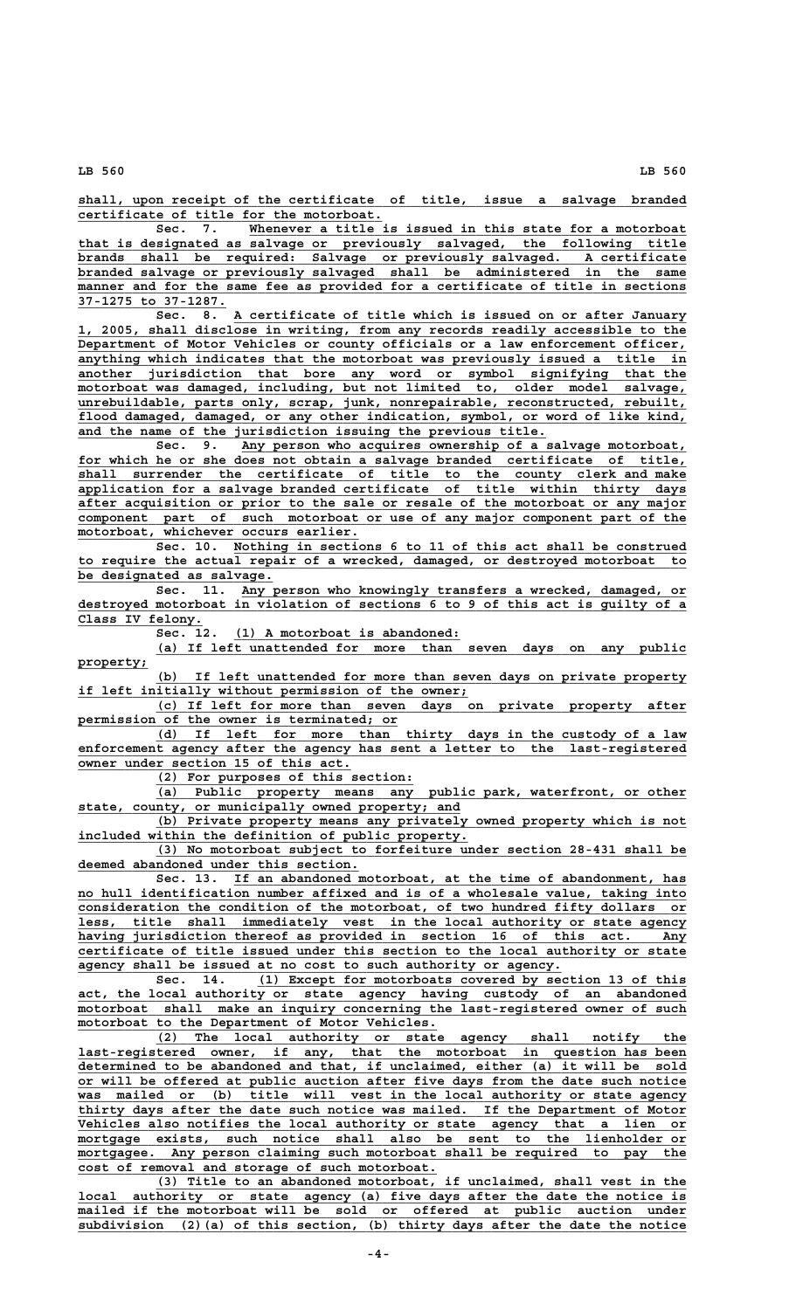**\_\_\_\_\_\_\_\_\_\_\_\_\_\_\_\_\_\_\_\_\_\_\_\_\_\_\_\_\_\_\_\_\_\_\_\_\_\_\_\_\_\_\_\_\_\_\_\_\_\_\_\_\_\_\_\_\_\_\_\_\_\_\_\_\_\_\_\_\_\_\_\_\_\_\_\_\_\_ shall, upon receipt of the certificate of title, issue a salvage branded \_\_\_\_\_\_\_\_\_\_\_\_\_\_\_\_\_\_\_\_\_\_\_\_\_\_\_\_\_\_\_\_\_\_\_\_\_\_\_ certificate of title for the motorboat.**

Sec. 7. Whenever a title is issued in this state for a motorboat  **\_\_\_\_\_\_\_\_\_\_\_\_\_\_\_\_\_\_\_\_\_\_\_\_\_\_\_\_\_\_\_\_\_\_\_\_\_\_\_\_\_\_\_\_\_\_\_\_\_\_\_\_\_\_\_\_\_\_\_\_\_\_\_\_\_\_\_\_\_\_\_\_\_\_\_\_\_\_ that is designated as salvage or previously salvaged, the following title \_\_\_\_\_\_\_\_\_\_\_\_\_\_\_\_\_\_\_\_\_\_\_\_\_\_\_\_\_\_\_\_\_\_\_\_\_\_\_\_\_\_\_\_\_\_\_\_\_\_\_\_\_\_\_\_\_\_\_\_\_\_\_\_\_\_\_\_\_\_\_\_\_\_\_\_\_\_ brands shall be required: Salvage or previously salvaged. A certificate \_\_\_\_\_\_\_\_\_\_\_\_\_\_\_\_\_\_\_\_\_\_\_\_\_\_\_\_\_\_\_\_\_\_\_\_\_\_\_\_\_\_\_\_\_\_\_\_\_\_\_\_\_\_\_\_\_\_\_\_\_\_\_\_\_\_\_\_\_\_\_\_\_\_\_\_\_\_ branded salvage or previously salvaged shall be administered in the same \_\_\_\_\_\_\_\_\_\_\_\_\_\_\_\_\_\_\_\_\_\_\_\_\_\_\_\_\_\_\_\_\_\_\_\_\_\_\_\_\_\_\_\_\_\_\_\_\_\_\_\_\_\_\_\_\_\_\_\_\_\_\_\_\_\_\_\_\_\_\_\_\_\_\_\_\_\_ manner and for the same fee as provided for a certificate of title in sections \_\_\_\_\_\_\_\_\_\_\_\_\_\_\_\_\_\_\_ 37-1275 to 37-1287.**

 **\_\_\_\_\_\_\_\_\_\_\_\_\_\_\_\_\_\_\_\_\_\_\_\_\_\_\_\_\_\_\_\_\_\_\_\_\_\_\_\_\_\_\_\_\_\_\_\_\_\_\_\_\_\_\_\_\_\_ Sec. 8. A certificate of title which is issued on or after January \_\_\_\_\_\_\_\_\_\_\_\_\_\_\_\_\_\_\_\_\_\_\_\_\_\_\_\_\_\_\_\_\_\_\_\_\_\_\_\_\_\_\_\_\_\_\_\_\_\_\_\_\_\_\_\_\_\_\_\_\_\_\_\_\_\_\_\_\_\_\_\_\_\_\_\_\_\_ 1, 2005, shall disclose in writing, from any records readily accessible to the \_\_\_\_\_\_\_\_\_\_\_\_\_\_\_\_\_\_\_\_\_\_\_\_\_\_\_\_\_\_\_\_\_\_\_\_\_\_\_\_\_\_\_\_\_\_\_\_\_\_\_\_\_\_\_\_\_\_\_\_\_\_\_\_\_\_\_\_\_\_\_\_\_\_\_\_\_\_ Department of Motor Vehicles or county officials or a law enforcement officer,**  $\frac{1}{\text{anything which indicates that the motorboat was previously issued a title in}}$  **\_\_\_\_\_\_\_\_\_\_\_\_\_\_\_\_\_\_\_\_\_\_\_\_\_\_\_\_\_\_\_\_\_\_\_\_\_\_\_\_\_\_\_\_\_\_\_\_\_\_\_\_\_\_\_\_\_\_\_\_\_\_\_\_\_\_\_\_\_\_\_\_\_\_\_\_\_\_ another jurisdiction that bore any word or symbol signifying that the**  $motorboat was damaged, including, but not limited to, older model salvage,$ </u>  **\_\_\_\_\_\_\_\_\_\_\_\_\_\_\_\_\_\_\_\_\_\_\_\_\_\_\_\_\_\_\_\_\_\_\_\_\_\_\_\_\_\_\_\_\_\_\_\_\_\_\_\_\_\_\_\_\_\_\_\_\_\_\_\_\_\_\_\_\_\_\_\_\_\_\_\_\_\_ unrebuildable, parts only, scrap, junk, nonrepairable, reconstructed, rebuilt, \_\_\_\_\_\_\_\_\_\_\_\_\_\_\_\_\_\_\_\_\_\_\_\_\_\_\_\_\_\_\_\_\_\_\_\_\_\_\_\_\_\_\_\_\_\_\_\_\_\_\_\_\_\_\_\_\_\_\_\_\_\_\_\_\_\_\_\_\_\_\_\_\_\_\_\_\_\_ flood damaged, damaged, or any other indication, symbol, or word of like kind, \_\_\_\_\_\_\_\_\_\_\_\_\_\_\_\_\_\_\_\_\_\_\_\_\_\_\_\_\_\_\_\_\_\_\_\_\_\_\_\_\_\_\_\_\_\_\_\_\_\_\_\_\_\_\_\_\_\_\_\_ and the name of the jurisdiction issuing the previous title.**

 **\_\_\_\_\_\_\_\_\_\_\_\_\_\_\_\_\_\_\_\_\_\_\_\_\_\_\_\_\_\_\_\_\_\_\_\_\_\_\_\_\_\_\_\_\_\_\_\_\_\_\_\_\_\_\_\_\_ Sec. 9. Any person who acquires ownership of a salvage motorboat, \_\_\_\_\_\_\_\_\_\_\_\_\_\_\_\_\_\_\_\_\_\_\_\_\_\_\_\_\_\_\_\_\_\_\_\_\_\_\_\_\_\_\_\_\_\_\_\_\_\_\_\_\_\_\_\_\_\_\_\_\_\_\_\_\_\_\_\_\_\_\_\_\_\_\_\_\_\_ for which he or she does not obtain a salvage branded certificate of title, \_\_\_\_\_\_\_\_\_\_\_\_\_\_\_\_\_\_\_\_\_\_\_\_\_\_\_\_\_\_\_\_\_\_\_\_\_\_\_\_\_\_\_\_\_\_\_\_\_\_\_\_\_\_\_\_\_\_\_\_\_\_\_\_\_\_\_\_\_\_\_\_\_\_\_\_\_\_ shall surrender the certificate of title to the county clerk and make \_\_\_\_\_\_\_\_\_\_\_\_\_\_\_\_\_\_\_\_\_\_\_\_\_\_\_\_\_\_\_\_\_\_\_\_\_\_\_\_\_\_\_\_\_\_\_\_\_\_\_\_\_\_\_\_\_\_\_\_\_\_\_\_\_\_\_\_\_\_\_\_\_\_\_\_\_\_ application for a salvage branded certificate of title within thirty days \_\_\_\_\_\_\_\_\_\_\_\_\_\_\_\_\_\_\_\_\_\_\_\_\_\_\_\_\_\_\_\_\_\_\_\_\_\_\_\_\_\_\_\_\_\_\_\_\_\_\_\_\_\_\_\_\_\_\_\_\_\_\_\_\_\_\_\_\_\_\_\_\_\_\_\_\_\_ after acquisition or prior to the sale or resale of the motorboat or any major** component part of such motorboat or use of any major component part of the  **\_\_\_\_\_\_\_\_\_\_\_\_\_\_\_\_\_\_\_\_\_\_\_\_\_\_\_\_\_\_\_\_\_\_\_\_ motorboat, whichever occurs earlier.**

 **\_\_\_\_\_\_\_\_\_\_\_\_\_\_\_\_\_\_\_\_\_\_\_\_\_\_\_\_\_\_\_\_\_\_\_\_\_\_\_\_\_\_\_\_\_\_\_\_\_\_\_\_\_\_\_\_\_\_ Sec. 10. Nothing in sections 6 to 11 of this act shall be construed \_\_\_\_\_\_\_\_\_\_\_\_\_\_\_\_\_\_\_\_\_\_\_\_\_\_\_\_\_\_\_\_\_\_\_\_\_\_\_\_\_\_\_\_\_\_\_\_\_\_\_\_\_\_\_\_\_\_\_\_\_\_\_\_\_\_\_\_\_\_\_\_\_\_\_\_\_\_ to require the actual repair of a wrecked, damaged, or destroyed motorboat to \_\_\_\_\_\_\_\_\_\_\_\_\_\_\_\_\_\_\_\_\_\_\_\_\_ be designated as salvage.**

 **\_\_\_\_\_\_\_\_\_\_\_\_\_\_\_\_\_\_\_\_\_\_\_\_\_\_\_\_\_\_\_\_\_\_\_\_\_\_\_\_\_\_\_\_\_\_\_\_\_\_\_\_\_\_\_\_\_ Sec. 11. Any person who knowingly transfers a wrecked, damaged, or \_\_\_\_\_\_\_\_\_\_\_\_\_\_\_\_\_\_\_\_\_\_\_\_\_\_\_\_\_\_\_\_\_\_\_\_\_\_\_\_\_\_\_\_\_\_\_\_\_\_\_\_\_\_\_\_\_\_\_\_\_\_\_\_\_\_\_\_\_\_\_\_\_\_\_\_\_\_ destroyed motorboat in violation of sections 6 to 9 of this act is guilty of a \_\_\_\_\_\_\_\_\_\_\_\_\_\_\_\_ Class IV felony.**

 **\_\_\_\_\_\_\_\_\_\_\_\_\_\_\_\_\_\_\_\_\_\_\_\_\_\_\_\_\_ Sec. 12. (1) A motorboat is abandoned:**

 **\_\_\_\_\_\_\_\_\_\_\_\_\_\_\_\_\_\_\_\_\_\_\_\_\_\_\_\_\_\_\_\_\_\_\_\_\_\_\_\_\_\_\_\_\_\_\_\_\_\_\_\_\_\_\_\_\_\_\_\_\_\_\_\_\_\_\_\_ (a) If left unattended for more than seven days on any public property; \_\_\_\_\_\_\_\_\_**

 **\_\_\_\_\_\_\_\_\_\_\_\_\_\_\_\_\_\_\_\_\_\_\_\_\_\_\_\_\_\_\_\_\_\_\_\_\_\_\_\_\_\_\_\_\_\_\_\_\_\_\_\_\_\_\_\_\_\_\_\_\_\_\_\_\_\_\_\_ (b) If left unattended for more than seven days on private property \_\_\_\_\_\_\_\_\_\_\_\_\_\_\_\_\_\_\_\_\_\_\_\_\_\_\_\_\_\_\_\_\_\_\_\_\_\_\_\_\_\_\_\_\_\_\_\_\_\_ if left initially without permission of the owner;**

 **\_\_\_\_\_\_\_\_\_\_\_\_\_\_\_\_\_\_\_\_\_\_\_\_\_\_\_\_\_\_\_\_\_\_\_\_\_\_\_\_\_\_\_\_\_\_\_\_\_\_\_\_\_\_\_\_\_\_\_\_\_\_\_\_\_\_\_\_ (c) If left for more than seven days on private property after \_\_\_\_\_\_\_\_\_\_\_\_\_\_\_\_\_\_\_\_\_\_\_\_\_\_\_\_\_\_\_\_\_\_\_\_\_\_\_\_\_ permission of the owner is terminated; or**

 **\_\_\_\_\_\_\_\_\_\_\_\_\_\_\_\_\_\_\_\_\_\_\_\_\_\_\_\_\_\_\_\_\_\_\_\_\_\_\_\_\_\_\_\_\_\_\_\_\_\_\_\_\_\_\_\_\_\_\_\_\_\_\_\_\_\_\_\_ (d) If left for more than thirty days in the custody of a law \_\_\_\_\_\_\_\_\_\_\_\_\_\_\_\_\_\_\_\_\_\_\_\_\_\_\_\_\_\_\_\_\_\_\_\_\_\_\_\_\_\_\_\_\_\_\_\_\_\_\_\_\_\_\_\_\_\_\_\_\_\_\_\_\_\_\_\_\_\_\_\_\_\_\_\_\_\_ enforcement agency after the agency has sent a letter to the last-registered**  $\overline{\text{owner under section 15 of this act.}}$ 

 **\_\_\_\_\_\_\_\_\_\_\_\_\_\_\_\_\_\_\_\_\_\_\_\_\_\_\_\_\_\_\_\_\_ (2) For purposes of this section:**

 **\_\_\_\_\_\_\_\_\_\_\_\_\_\_\_\_\_\_\_\_\_\_\_\_\_\_\_\_\_\_\_\_\_\_\_\_\_\_\_\_\_\_\_\_\_\_\_\_\_\_\_\_\_\_\_\_\_\_\_\_\_\_\_\_\_\_\_\_ (a) Public property means any public park, waterfront, or other** state, county, or municipally owned property; and

 **\_\_\_\_\_\_\_\_\_\_\_\_\_\_\_\_\_\_\_\_\_\_\_\_\_\_\_\_\_\_\_\_\_\_\_\_\_\_\_\_\_\_\_\_\_\_\_\_\_\_\_\_\_\_\_\_\_\_\_\_\_\_\_\_\_\_\_\_ (b) Private property means any privately owned property which is not \_\_\_\_\_\_\_\_\_\_\_\_\_\_\_\_\_\_\_\_\_\_\_\_\_\_\_\_\_\_\_\_\_\_\_\_\_\_\_\_\_\_\_\_\_\_\_\_\_\_ included within the definition of public property.**

 **\_\_\_\_\_\_\_\_\_\_\_\_\_\_\_\_\_\_\_\_\_\_\_\_\_\_\_\_\_\_\_\_\_\_\_\_\_\_\_\_\_\_\_\_\_\_\_\_\_\_\_\_\_\_\_\_\_\_\_\_\_\_\_\_\_\_\_\_ (3) No motorboat subject to forfeiture under section 28-431 shall be \_\_\_\_\_\_\_\_\_\_\_\_\_\_\_\_\_\_\_\_\_\_\_\_\_\_\_\_\_\_\_\_\_\_\_\_ deemed abandoned under this section.**

 **\_\_\_\_\_\_\_\_\_\_\_\_\_\_\_\_\_\_\_\_\_\_\_\_\_\_\_\_\_\_\_\_\_\_\_\_\_\_\_\_\_\_\_\_\_\_\_\_\_\_\_\_\_\_\_\_\_\_ Sec. 13. If an abandoned motorboat, at the time of abandonment, has \_\_\_\_\_\_\_\_\_\_\_\_\_\_\_\_\_\_\_\_\_\_\_\_\_\_\_\_\_\_\_\_\_\_\_\_\_\_\_\_\_\_\_\_\_\_\_\_\_\_\_\_\_\_\_\_\_\_\_\_\_\_\_\_\_\_\_\_\_\_\_\_\_\_\_\_\_\_ no hull identification number affixed and is of a wholesale value, taking into \_\_\_\_\_\_\_\_\_\_\_\_\_\_\_\_\_\_\_\_\_\_\_\_\_\_\_\_\_\_\_\_\_\_\_\_\_\_\_\_\_\_\_\_\_\_\_\_\_\_\_\_\_\_\_\_\_\_\_\_\_\_\_\_\_\_\_\_\_\_\_\_\_\_\_\_\_\_ consideration the condition of the motorboat, of two hundred fifty dollars or \_\_\_\_\_\_\_\_\_\_\_\_\_\_\_\_\_\_\_\_\_\_\_\_\_\_\_\_\_\_\_\_\_\_\_\_\_\_\_\_\_\_\_\_\_\_\_\_\_\_\_\_\_\_\_\_\_\_\_\_\_\_\_\_\_\_\_\_\_\_\_\_\_\_\_\_\_\_ less, title shall immediately vest in the local authority or state agency** having jurisdiction thereof as provided in section 16 of this act. Any  **\_\_\_\_\_\_\_\_\_\_\_\_\_\_\_\_\_\_\_\_\_\_\_\_\_\_\_\_\_\_\_\_\_\_\_\_\_\_\_\_\_\_\_\_\_\_\_\_\_\_\_\_\_\_\_\_\_\_\_\_\_\_\_\_\_\_\_\_\_\_\_\_\_\_\_\_\_\_ certificate of title issued under this section to the local authority or state \_\_\_\_\_\_\_\_\_\_\_\_\_\_\_\_\_\_\_\_\_\_\_\_\_\_\_\_\_\_\_\_\_\_\_\_\_\_\_\_\_\_\_\_\_\_\_\_\_\_\_\_\_\_\_\_\_\_\_\_\_\_ agency shall be issued at no cost to such authority or agency.**

Sec. 14. (1) Except for motorboats covered by section 13 of this  **\_\_\_\_\_\_\_\_\_\_\_\_\_\_\_\_\_\_\_\_\_\_\_\_\_\_\_\_\_\_\_\_\_\_\_\_\_\_\_\_\_\_\_\_\_\_\_\_\_\_\_\_\_\_\_\_\_\_\_\_\_\_\_\_\_\_\_\_\_\_\_\_\_\_\_\_\_\_ act, the local authority or state agency having custody of an abandoned**  $motorboat$  shall make an inquiry concerning the last-registered owner of such  **\_\_\_\_\_\_\_\_\_\_\_\_\_\_\_\_\_\_\_\_\_\_\_\_\_\_\_\_\_\_\_\_\_\_\_\_\_\_\_\_\_\_\_\_\_\_ motorboat to the Department of Motor Vehicles.**

 **\_\_\_\_\_\_\_\_\_\_\_\_\_\_\_\_\_\_\_\_\_\_\_\_\_\_\_\_\_\_\_\_\_\_\_\_\_\_\_\_\_\_\_\_\_\_\_\_\_\_\_\_\_\_\_\_\_\_\_\_\_\_\_\_\_\_\_\_ (2) The local authority or state agency shall notify the \_\_\_\_\_\_\_\_\_\_\_\_\_\_\_\_\_\_\_\_\_\_\_\_\_\_\_\_\_\_\_\_\_\_\_\_\_\_\_\_\_\_\_\_\_\_\_\_\_\_\_\_\_\_\_\_\_\_\_\_\_\_\_\_\_\_\_\_\_\_\_\_\_\_\_\_\_\_ last-registered owner, if any, that the motorboat in question has been \_\_\_\_\_\_\_\_\_\_\_\_\_\_\_\_\_\_\_\_\_\_\_\_\_\_\_\_\_\_\_\_\_\_\_\_\_\_\_\_\_\_\_\_\_\_\_\_\_\_\_\_\_\_\_\_\_\_\_\_\_\_\_\_\_\_\_\_\_\_\_\_\_\_\_\_\_\_ determined to be abandoned and that, if unclaimed, either (a) it will be sold \_\_\_\_\_\_\_\_\_\_\_\_\_\_\_\_\_\_\_\_\_\_\_\_\_\_\_\_\_\_\_\_\_\_\_\_\_\_\_\_\_\_\_\_\_\_\_\_\_\_\_\_\_\_\_\_\_\_\_\_\_\_\_\_\_\_\_\_\_\_\_\_\_\_\_\_\_\_ or will be offered at public auction after five days from the date such notice \_\_\_\_\_\_\_\_\_\_\_\_\_\_\_\_\_\_\_\_\_\_\_\_\_\_\_\_\_\_\_\_\_\_\_\_\_\_\_\_\_\_\_\_\_\_\_\_\_\_\_\_\_\_\_\_\_\_\_\_\_\_\_\_\_\_\_\_\_\_\_\_\_\_\_\_\_\_ was mailed or (b) title will vest in the local authority or state agency \_\_\_\_\_\_\_\_\_\_\_\_\_\_\_\_\_\_\_\_\_\_\_\_\_\_\_\_\_\_\_\_\_\_\_\_\_\_\_\_\_\_\_\_\_\_\_\_\_\_\_\_\_\_\_\_\_\_\_\_\_\_\_\_\_\_\_\_\_\_\_\_\_\_\_\_\_\_ thirty days after the date such notice was mailed. If the Department of Motor \_\_\_\_\_\_\_\_\_\_\_\_\_\_\_\_\_\_\_\_\_\_\_\_\_\_\_\_\_\_\_\_\_\_\_\_\_\_\_\_\_\_\_\_\_\_\_\_\_\_\_\_\_\_\_\_\_\_\_\_\_\_\_\_\_\_\_\_\_\_\_\_\_\_\_\_\_\_ Vehicles also notifies the local authority or state agency that a lien or \_\_\_\_\_\_\_\_\_\_\_\_\_\_\_\_\_\_\_\_\_\_\_\_\_\_\_\_\_\_\_\_\_\_\_\_\_\_\_\_\_\_\_\_\_\_\_\_\_\_\_\_\_\_\_\_\_\_\_\_\_\_\_\_\_\_\_\_\_\_\_\_\_\_\_\_\_\_ mortgage exists, such notice shall also be sent to the lienholder or**  $mortgagee$ . Any person claiming such motorboat shall be required to pay the  **\_\_\_\_\_\_\_\_\_\_\_\_\_\_\_\_\_\_\_\_\_\_\_\_\_\_\_\_\_\_\_\_\_\_\_\_\_\_\_\_\_\_\_\_\_\_ cost of removal and storage of such motorboat.**

 **\_\_\_\_\_\_\_\_\_\_\_\_\_\_\_\_\_\_\_\_\_\_\_\_\_\_\_\_\_\_\_\_\_\_\_\_\_\_\_\_\_\_\_\_\_\_\_\_\_\_\_\_\_\_\_\_\_\_\_\_\_\_\_\_\_\_\_\_ (3) Title to an abandoned motorboat, if unclaimed, shall vest in the \_\_\_\_\_\_\_\_\_\_\_\_\_\_\_\_\_\_\_\_\_\_\_\_\_\_\_\_\_\_\_\_\_\_\_\_\_\_\_\_\_\_\_\_\_\_\_\_\_\_\_\_\_\_\_\_\_\_\_\_\_\_\_\_\_\_\_\_\_\_\_\_\_\_\_\_\_\_ local authority or state agency (a) five days after the date the notice is \_\_\_\_\_\_\_\_\_\_\_\_\_\_\_\_\_\_\_\_\_\_\_\_\_\_\_\_\_\_\_\_\_\_\_\_\_\_\_\_\_\_\_\_\_\_\_\_\_\_\_\_\_\_\_\_\_\_\_\_\_\_\_\_\_\_\_\_\_\_\_\_\_\_\_\_\_\_ mailed if the motorboat will be sold or offered at public auction under \_\_\_\_\_\_\_\_\_\_\_\_\_\_\_\_\_\_\_\_\_\_\_\_\_\_\_\_\_\_\_\_\_\_\_\_\_\_\_\_\_\_\_\_\_\_\_\_\_\_\_\_\_\_\_\_\_\_\_\_\_\_\_\_\_\_\_\_\_\_\_\_\_\_\_\_\_\_ subdivision (2)(a) of this section, (b) thirty days after the date the notice**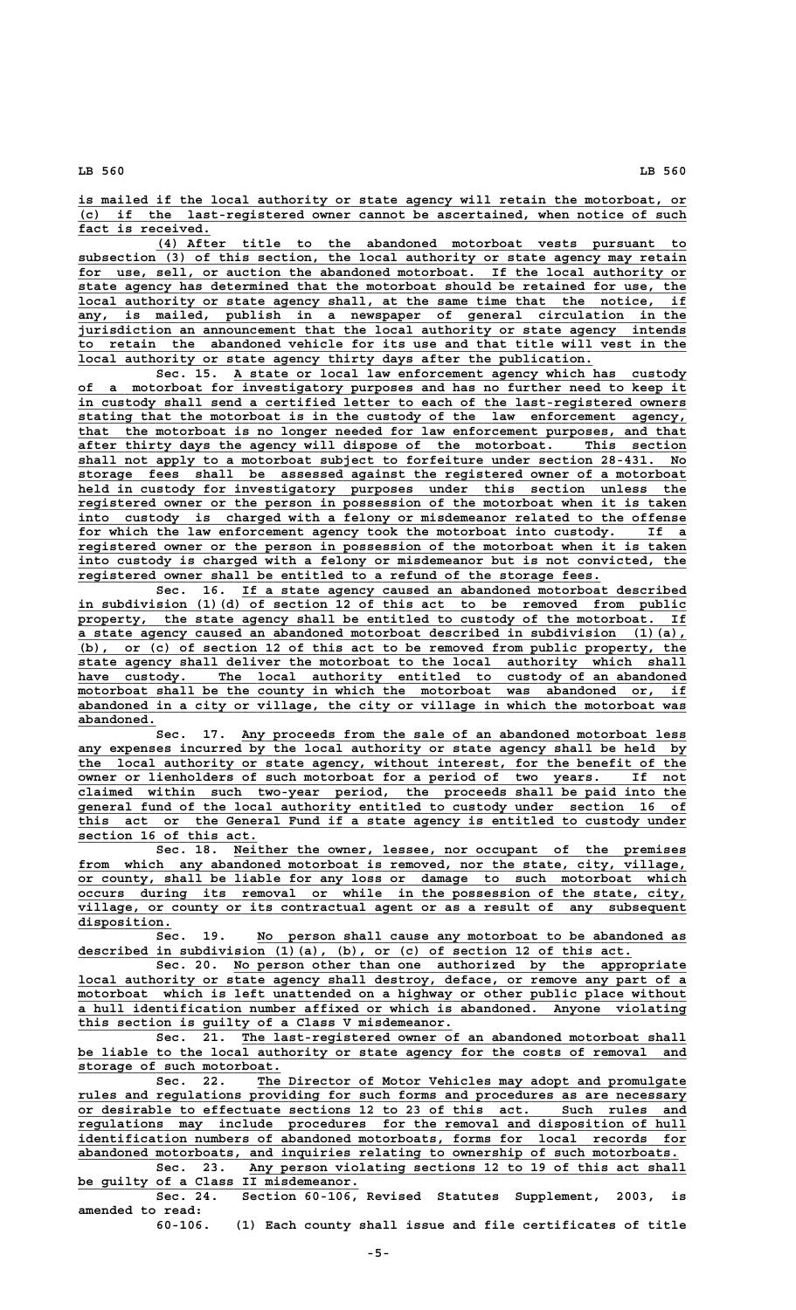**\_\_\_\_\_\_\_\_\_\_\_\_\_\_\_\_\_\_\_\_\_\_\_\_\_\_\_\_\_\_\_\_\_\_\_\_\_\_\_\_\_\_\_\_\_\_\_\_\_\_\_\_\_\_\_\_\_\_\_\_\_\_\_\_\_\_\_\_\_\_\_\_\_\_\_\_\_\_ is mailed if the local authority or state agency will retain the motorboat, or \_\_\_\_\_\_\_\_\_\_\_\_\_\_\_\_\_\_\_\_\_\_\_\_\_\_\_\_\_\_\_\_\_\_\_\_\_\_\_\_\_\_\_\_\_\_\_\_\_\_\_\_\_\_\_\_\_\_\_\_\_\_\_\_\_\_\_\_\_\_\_\_\_\_\_\_\_\_ (c) if the last-registered owner cannot be ascertained, when notice of such \_\_\_\_\_\_\_\_\_\_\_\_\_\_\_\_\_ fact is received.**

 **\_\_\_\_\_\_\_\_\_\_\_\_\_\_\_\_\_\_\_\_\_\_\_\_\_\_\_\_\_\_\_\_\_\_\_\_\_\_\_\_\_\_\_\_\_\_\_\_\_\_\_\_\_\_\_\_\_\_\_\_\_\_\_\_\_\_\_\_ (4) After title to the abandoned motorboat vests pursuant to \_\_\_\_\_\_\_\_\_\_\_\_\_\_\_\_\_\_\_\_\_\_\_\_\_\_\_\_\_\_\_\_\_\_\_\_\_\_\_\_\_\_\_\_\_\_\_\_\_\_\_\_\_\_\_\_\_\_\_\_\_\_\_\_\_\_\_\_\_\_\_\_\_\_\_\_\_\_ subsection (3) of this section, the local authority or state agency may retain** for use, sell, or auction the abandoned motorboat. If the local authority or  **\_\_\_\_\_\_\_\_\_\_\_\_\_\_\_\_\_\_\_\_\_\_\_\_\_\_\_\_\_\_\_\_\_\_\_\_\_\_\_\_\_\_\_\_\_\_\_\_\_\_\_\_\_\_\_\_\_\_\_\_\_\_\_\_\_\_\_\_\_\_\_\_\_\_\_\_\_\_ state agency has determined that the motorboat should be retained for use, the \_\_\_\_\_\_\_\_\_\_\_\_\_\_\_\_\_\_\_\_\_\_\_\_\_\_\_\_\_\_\_\_\_\_\_\_\_\_\_\_\_\_\_\_\_\_\_\_\_\_\_\_\_\_\_\_\_\_\_\_\_\_\_\_\_\_\_\_\_\_\_\_\_\_\_\_\_\_ local authority or state agency shall, at the same time that the notice, if \_\_\_\_\_\_\_\_\_\_\_\_\_\_\_\_\_\_\_\_\_\_\_\_\_\_\_\_\_\_\_\_\_\_\_\_\_\_\_\_\_\_\_\_\_\_\_\_\_\_\_\_\_\_\_\_\_\_\_\_\_\_\_\_\_\_\_\_\_\_\_\_\_\_\_\_\_\_ any, is mailed, publish in a newspaper of general circulation in the \_\_\_\_\_\_\_\_\_\_\_\_\_\_\_\_\_\_\_\_\_\_\_\_\_\_\_\_\_\_\_\_\_\_\_\_\_\_\_\_\_\_\_\_\_\_\_\_\_\_\_\_\_\_\_\_\_\_\_\_\_\_\_\_\_\_\_\_\_\_\_\_\_\_\_\_\_\_ jurisdiction an announcement that the local authority or state agency intends \_\_\_\_\_\_\_\_\_\_\_\_\_\_\_\_\_\_\_\_\_\_\_\_\_\_\_\_\_\_\_\_\_\_\_\_\_\_\_\_\_\_\_\_\_\_\_\_\_\_\_\_\_\_\_\_\_\_\_\_\_\_\_\_\_\_\_\_\_\_\_\_\_\_\_\_\_\_ to retain the abandoned vehicle for its use and that title will vest in the \_\_\_\_\_\_\_\_\_\_\_\_\_\_\_\_\_\_\_\_\_\_\_\_\_\_\_\_\_\_\_\_\_\_\_\_\_\_\_\_\_\_\_\_\_\_\_\_\_\_\_\_\_\_\_\_\_\_\_\_\_\_\_\_\_\_ local authority or state agency thirty days after the publication.**

 **\_\_\_\_\_\_\_\_\_\_\_\_\_\_\_\_\_\_\_\_\_\_\_\_\_\_\_\_\_\_\_\_\_\_\_\_\_\_\_\_\_\_\_\_\_\_\_\_\_\_\_\_\_\_\_\_\_\_ Sec. 15. A state or local law enforcement agency which has custody \_\_\_\_\_\_\_\_\_\_\_\_\_\_\_\_\_\_\_\_\_\_\_\_\_\_\_\_\_\_\_\_\_\_\_\_\_\_\_\_\_\_\_\_\_\_\_\_\_\_\_\_\_\_\_\_\_\_\_\_\_\_\_\_\_\_\_\_\_\_\_\_\_\_\_\_\_\_ of a motorboat for investigatory purposes and has no further need to keep it \_\_\_\_\_\_\_\_\_\_\_\_\_\_\_\_\_\_\_\_\_\_\_\_\_\_\_\_\_\_\_\_\_\_\_\_\_\_\_\_\_\_\_\_\_\_\_\_\_\_\_\_\_\_\_\_\_\_\_\_\_\_\_\_\_\_\_\_\_\_\_\_\_\_\_\_\_\_ in custody shall send a certified letter to each of the last-registered owners \_\_\_\_\_\_\_\_\_\_\_\_\_\_\_\_\_\_\_\_\_\_\_\_\_\_\_\_\_\_\_\_\_\_\_\_\_\_\_\_\_\_\_\_\_\_\_\_\_\_\_\_\_\_\_\_\_\_\_\_\_\_\_\_\_\_\_\_\_\_\_\_\_\_\_\_\_\_ stating that the motorboat is in the custody of the law enforcement agency, \_\_\_\_\_\_\_\_\_\_\_\_\_\_\_\_\_\_\_\_\_\_\_\_\_\_\_\_\_\_\_\_\_\_\_\_\_\_\_\_\_\_\_\_\_\_\_\_\_\_\_\_\_\_\_\_\_\_\_\_\_\_\_\_\_\_\_\_\_\_\_\_\_\_\_\_\_\_ that the motorboat is no longer needed for law enforcement purposes, and that \_\_\_\_\_\_\_\_\_\_\_\_\_\_\_\_\_\_\_\_\_\_\_\_\_\_\_\_\_\_\_\_\_\_\_\_\_\_\_\_\_\_\_\_\_\_\_\_\_\_\_\_\_\_\_\_\_\_\_\_\_\_\_\_\_\_\_\_\_\_\_\_\_\_\_\_\_\_ after thirty days the agency will dispose of the motorboat. This section \_\_\_\_\_\_\_\_\_\_\_\_\_\_\_\_\_\_\_\_\_\_\_\_\_\_\_\_\_\_\_\_\_\_\_\_\_\_\_\_\_\_\_\_\_\_\_\_\_\_\_\_\_\_\_\_\_\_\_\_\_\_\_\_\_\_\_\_\_\_\_\_\_\_\_\_\_\_ shall not apply to a motorboat subject to forfeiture under section 28-431. No \_\_\_\_\_\_\_\_\_\_\_\_\_\_\_\_\_\_\_\_\_\_\_\_\_\_\_\_\_\_\_\_\_\_\_\_\_\_\_\_\_\_\_\_\_\_\_\_\_\_\_\_\_\_\_\_\_\_\_\_\_\_\_\_\_\_\_\_\_\_\_\_\_\_\_\_\_\_ storage fees shall be assessed against the registered owner of a motorboat \_\_\_\_\_\_\_\_\_\_\_\_\_\_\_\_\_\_\_\_\_\_\_\_\_\_\_\_\_\_\_\_\_\_\_\_\_\_\_\_\_\_\_\_\_\_\_\_\_\_\_\_\_\_\_\_\_\_\_\_\_\_\_\_\_\_\_\_\_\_\_\_\_\_\_\_\_\_ held in custody for investigatory purposes under this section unless the \_\_\_\_\_\_\_\_\_\_\_\_\_\_\_\_\_\_\_\_\_\_\_\_\_\_\_\_\_\_\_\_\_\_\_\_\_\_\_\_\_\_\_\_\_\_\_\_\_\_\_\_\_\_\_\_\_\_\_\_\_\_\_\_\_\_\_\_\_\_\_\_\_\_\_\_\_\_ registered owner or the person in possession of the motorboat when it is taken \_\_\_\_\_\_\_\_\_\_\_\_\_\_\_\_\_\_\_\_\_\_\_\_\_\_\_\_\_\_\_\_\_\_\_\_\_\_\_\_\_\_\_\_\_\_\_\_\_\_\_\_\_\_\_\_\_\_\_\_\_\_\_\_\_\_\_\_\_\_\_\_\_\_\_\_\_\_ into custody is charged with a felony or misdemeanor related to the offense** for which the law enforcement agency took the motorboat into custody. If  **\_\_\_\_\_\_\_\_\_\_\_\_\_\_\_\_\_\_\_\_\_\_\_\_\_\_\_\_\_\_\_\_\_\_\_\_\_\_\_\_\_\_\_\_\_\_\_\_\_\_\_\_\_\_\_\_\_\_\_\_\_\_\_\_\_\_\_\_\_\_\_\_\_\_\_\_\_\_ registered owner or the person in possession of the motorboat when it is taken \_\_\_\_\_\_\_\_\_\_\_\_\_\_\_\_\_\_\_\_\_\_\_\_\_\_\_\_\_\_\_\_\_\_\_\_\_\_\_\_\_\_\_\_\_\_\_\_\_\_\_\_\_\_\_\_\_\_\_\_\_\_\_\_\_\_\_\_\_\_\_\_\_\_\_\_\_\_ into custody is charged with a felony or misdemeanor but is not convicted, the \_\_\_\_\_\_\_\_\_\_\_\_\_\_\_\_\_\_\_\_\_\_\_\_\_\_\_\_\_\_\_\_\_\_\_\_\_\_\_\_\_\_\_\_\_\_\_\_\_\_\_\_\_\_\_\_\_\_\_\_\_\_\_\_\_\_\_ registered owner shall be entitled to a refund of the storage fees.**

 **\_\_\_\_\_\_\_\_\_\_\_\_\_\_\_\_\_\_\_\_\_\_\_\_\_\_\_\_\_\_\_\_\_\_\_\_\_\_\_\_\_\_\_\_\_\_\_\_\_\_\_\_\_\_\_\_\_ Sec. 16. If a state agency caused an abandoned motorboat described \_\_\_\_\_\_\_\_\_\_\_\_\_\_\_\_\_\_\_\_\_\_\_\_\_\_\_\_\_\_\_\_\_\_\_\_\_\_\_\_\_\_\_\_\_\_\_\_\_\_\_\_\_\_\_\_\_\_\_\_\_\_\_\_\_\_\_\_\_\_\_\_\_\_\_\_\_\_ in subdivision (1)(d) of section 12 of this act to be removed from public \_\_\_\_\_\_\_\_\_\_\_\_\_\_\_\_\_\_\_\_\_\_\_\_\_\_\_\_\_\_\_\_\_\_\_\_\_\_\_\_\_\_\_\_\_\_\_\_\_\_\_\_\_\_\_\_\_\_\_\_\_\_\_\_\_\_\_\_\_\_\_\_\_\_\_\_\_\_ property, the state agency shall be entitled to custody of the motorboat. If \_\_\_\_\_\_\_\_\_\_\_\_\_\_\_\_\_\_\_\_\_\_\_\_\_\_\_\_\_\_\_\_\_\_\_\_\_\_\_\_\_\_\_\_\_\_\_\_\_\_\_\_\_\_\_\_\_\_\_\_\_\_\_\_\_\_\_\_\_\_\_\_\_\_\_\_\_\_ a state agency caused an abandoned motorboat described in subdivision (1)(a), \_\_\_\_\_\_\_\_\_\_\_\_\_\_\_\_\_\_\_\_\_\_\_\_\_\_\_\_\_\_\_\_\_\_\_\_\_\_\_\_\_\_\_\_\_\_\_\_\_\_\_\_\_\_\_\_\_\_\_\_\_\_\_\_\_\_\_\_\_\_\_\_\_\_\_\_\_\_ (b), or (c) of section 12 of this act to be removed from public property, the \_\_\_\_\_\_\_\_\_\_\_\_\_\_\_\_\_\_\_\_\_\_\_\_\_\_\_\_\_\_\_\_\_\_\_\_\_\_\_\_\_\_\_\_\_\_\_\_\_\_\_\_\_\_\_\_\_\_\_\_\_\_\_\_\_\_\_\_\_\_\_\_\_\_\_\_\_\_ state agency shall deliver the motorboat to the local authority which shall \_\_\_\_\_\_\_\_\_\_\_\_\_\_\_\_\_\_\_\_\_\_\_\_\_\_\_\_\_\_\_\_\_\_\_\_\_\_\_\_\_\_\_\_\_\_\_\_\_\_\_\_\_\_\_\_\_\_\_\_\_\_\_\_\_\_\_\_\_\_\_\_\_\_\_\_\_\_ have custody. The local authority entitled to custody of an abandoned** motorboat shall be the county in which the motorboat was abandoned or, if  **\_\_\_\_\_\_\_\_\_\_\_\_\_\_\_\_\_\_\_\_\_\_\_\_\_\_\_\_\_\_\_\_\_\_\_\_\_\_\_\_\_\_\_\_\_\_\_\_\_\_\_\_\_\_\_\_\_\_\_\_\_\_\_\_\_\_\_\_\_\_\_\_\_\_\_\_\_\_ abandoned in a city or village, the city or village in which the motorboat was abandoned. \_\_\_\_\_\_\_\_\_\_**

Sec. 17. Any proceeds from the sale of an abandoned motorboat less any expenses incurred by the local authority or state agency shall be held by  **\_\_\_\_\_\_\_\_\_\_\_\_\_\_\_\_\_\_\_\_\_\_\_\_\_\_\_\_\_\_\_\_\_\_\_\_\_\_\_\_\_\_\_\_\_\_\_\_\_\_\_\_\_\_\_\_\_\_\_\_\_\_\_\_\_\_\_\_\_\_\_\_\_\_\_\_\_\_ the local authority or state agency, without interest, for the benefit of the \_\_\_\_\_\_\_\_\_\_\_\_\_\_\_\_\_\_\_\_\_\_\_\_\_\_\_\_\_\_\_\_\_\_\_\_\_\_\_\_\_\_\_\_\_\_\_\_\_\_\_\_\_\_\_\_\_\_\_\_\_\_\_\_\_\_\_\_\_\_\_\_\_\_\_\_\_\_ owner or lienholders of such motorboat for a period of two years. If not \_\_\_\_\_\_\_\_\_\_\_\_\_\_\_\_\_\_\_\_\_\_\_\_\_\_\_\_\_\_\_\_\_\_\_\_\_\_\_\_\_\_\_\_\_\_\_\_\_\_\_\_\_\_\_\_\_\_\_\_\_\_\_\_\_\_\_\_\_\_\_\_\_\_\_\_\_\_ claimed within such two-year period, the proceeds shall be paid into the \_\_\_\_\_\_\_\_\_\_\_\_\_\_\_\_\_\_\_\_\_\_\_\_\_\_\_\_\_\_\_\_\_\_\_\_\_\_\_\_\_\_\_\_\_\_\_\_\_\_\_\_\_\_\_\_\_\_\_\_\_\_\_\_\_\_\_\_\_\_\_\_\_\_\_\_\_\_ general fund of the local authority entitled to custody under section 16 of \_\_\_\_\_\_\_\_\_\_\_\_\_\_\_\_\_\_\_\_\_\_\_\_\_\_\_\_\_\_\_\_\_\_\_\_\_\_\_\_\_\_\_\_\_\_\_\_\_\_\_\_\_\_\_\_\_\_\_\_\_\_\_\_\_\_\_\_\_\_\_\_\_\_\_\_\_\_ this act or the General Fund if a state agency is entitled to custody under \_\_\_\_\_\_\_\_\_\_\_\_\_\_\_\_\_\_\_\_\_\_\_ section 16 of this act.**

> Sec. 18. Neither the owner, lessee, nor occupant of the premises from which any abandoned motorboat is removed, nor the state, city, village,  **\_\_\_\_\_\_\_\_\_\_\_\_\_\_\_\_\_\_\_\_\_\_\_\_\_\_\_\_\_\_\_\_\_\_\_\_\_\_\_\_\_\_\_\_\_\_\_\_\_\_\_\_\_\_\_\_\_\_\_\_\_\_\_\_\_\_\_\_\_\_\_\_\_\_\_\_\_\_ or county, shall be liable for any loss or damage to such motorboat which \_\_\_\_\_\_\_\_\_\_\_\_\_\_\_\_\_\_\_\_\_\_\_\_\_\_\_\_\_\_\_\_\_\_\_\_\_\_\_\_\_\_\_\_\_\_\_\_\_\_\_\_\_\_\_\_\_\_\_\_\_\_\_\_\_\_\_\_\_\_\_\_\_\_\_\_\_\_ occurs during its removal or while in the possession of the state, city, \_\_\_\_\_\_\_\_\_\_\_\_\_\_\_\_\_\_\_\_\_\_\_\_\_\_\_\_\_\_\_\_\_\_\_\_\_\_\_\_\_\_\_\_\_\_\_\_\_\_\_\_\_\_\_\_\_\_\_\_\_\_\_\_\_\_\_\_\_\_\_\_\_\_\_\_\_\_ village, or county or its contractual agent or as a result of any subsequent disposition. \_\_\_\_\_\_\_\_\_\_\_\_**

Sec. 19. No person shall cause any motorboat to be abandoned as  **\_\_\_\_\_\_\_\_\_\_\_\_\_\_\_\_\_\_\_\_\_\_\_\_\_\_\_\_\_\_\_\_\_\_\_\_\_\_\_\_\_\_\_\_\_\_\_\_\_\_\_\_\_\_\_\_\_\_\_\_\_\_\_\_\_\_\_\_\_\_\_ described in subdivision (1)(a), (b), or (c) of section 12 of this act.**

 **\_\_\_\_\_\_\_\_\_\_\_\_\_\_\_\_\_\_\_\_\_\_\_\_\_\_\_\_\_\_\_\_\_\_\_\_\_\_\_\_\_\_\_\_\_\_\_\_\_\_\_\_\_\_\_\_\_\_ Sec. 20. No person other than one authorized by the appropriate \_\_\_\_\_\_\_\_\_\_\_\_\_\_\_\_\_\_\_\_\_\_\_\_\_\_\_\_\_\_\_\_\_\_\_\_\_\_\_\_\_\_\_\_\_\_\_\_\_\_\_\_\_\_\_\_\_\_\_\_\_\_\_\_\_\_\_\_\_\_\_\_\_\_\_\_\_\_ local authority or state agency shall destroy, deface, or remove any part of a**  $motorboat$  which is left unattended on a highway or other public place without  **\_\_\_\_\_\_\_\_\_\_\_\_\_\_\_\_\_\_\_\_\_\_\_\_\_\_\_\_\_\_\_\_\_\_\_\_\_\_\_\_\_\_\_\_\_\_\_\_\_\_\_\_\_\_\_\_\_\_\_\_\_\_\_\_\_\_\_\_\_\_\_\_\_\_\_\_\_\_ a hull identification number affixed or which is abandoned. Anyone violating \_\_\_\_\_\_\_\_\_\_\_\_\_\_\_\_\_\_\_\_\_\_\_\_\_\_\_\_\_\_\_\_\_\_\_\_\_\_\_\_\_\_\_\_\_\_\_\_ this section is guilty of a Class V misdemeanor.**

Sec. 21. The last-registered owner of an abandoned motorboat shall be liable to the local authority or state agency for the costs of removal and  **\_\_\_\_\_\_\_\_\_\_\_\_\_\_\_\_\_\_\_\_\_\_\_\_\_\_ storage of such motorboat.**

 **\_\_\_\_\_\_\_\_\_\_\_\_\_\_\_\_\_\_\_\_\_\_\_\_\_\_\_\_\_\_\_\_\_\_\_\_\_\_\_\_\_\_\_\_\_\_\_\_\_\_\_\_\_\_\_ Sec. 22. The Director of Motor Vehicles may adopt and promulgate** rules and regulations providing for such forms and procedures as are necessary  **\_\_\_\_\_\_\_\_\_\_\_\_\_\_\_\_\_\_\_\_\_\_\_\_\_\_\_\_\_\_\_\_\_\_\_\_\_\_\_\_\_\_\_\_\_\_\_\_\_\_\_\_\_\_\_\_\_\_\_\_\_\_\_\_\_\_\_\_\_\_\_\_\_\_\_\_\_\_ or desirable to effectuate sections 12 to 23 of this act. Such rules and \_\_\_\_\_\_\_\_\_\_\_\_\_\_\_\_\_\_\_\_\_\_\_\_\_\_\_\_\_\_\_\_\_\_\_\_\_\_\_\_\_\_\_\_\_\_\_\_\_\_\_\_\_\_\_\_\_\_\_\_\_\_\_\_\_\_\_\_\_\_\_\_\_\_\_\_\_\_ regulations may include procedures for the removal and disposition of hull \_\_\_\_\_\_\_\_\_\_\_\_\_\_\_\_\_\_\_\_\_\_\_\_\_\_\_\_\_\_\_\_\_\_\_\_\_\_\_\_\_\_\_\_\_\_\_\_\_\_\_\_\_\_\_\_\_\_\_\_\_\_\_\_\_\_\_\_\_\_\_\_\_\_\_\_\_\_ identification numbers of abandoned motorboats, forms for local records for \_\_\_\_\_\_\_\_\_\_\_\_\_\_\_\_\_\_\_\_\_\_\_\_\_\_\_\_\_\_\_\_\_\_\_\_\_\_\_\_\_\_\_\_\_\_\_\_\_\_\_\_\_\_\_\_\_\_\_\_\_\_\_\_\_\_\_\_\_\_\_\_\_\_\_\_\_ abandoned motorboats, and inquiries relating to ownership of such motorboats. \_\_\_\_\_\_\_\_\_\_\_\_\_\_\_\_\_\_\_\_\_\_\_\_\_\_\_\_\_\_\_\_\_\_\_\_\_\_\_\_\_\_\_\_\_\_\_\_\_\_\_\_\_\_\_\_ Sec. 23. Any person violating sections 12 to 19 of this act shall**

 **\_\_\_\_\_\_\_\_\_\_\_\_\_\_\_\_\_\_\_\_\_\_\_\_\_\_\_\_\_\_\_\_\_\_\_\_ be guilty of a Class II misdemeanor. Sec. 24. Section 60-106, Revised Statutes Supplement, 2003, is**

**amended to read:**

**60-106. (1) Each county shall issue and file certificates of title**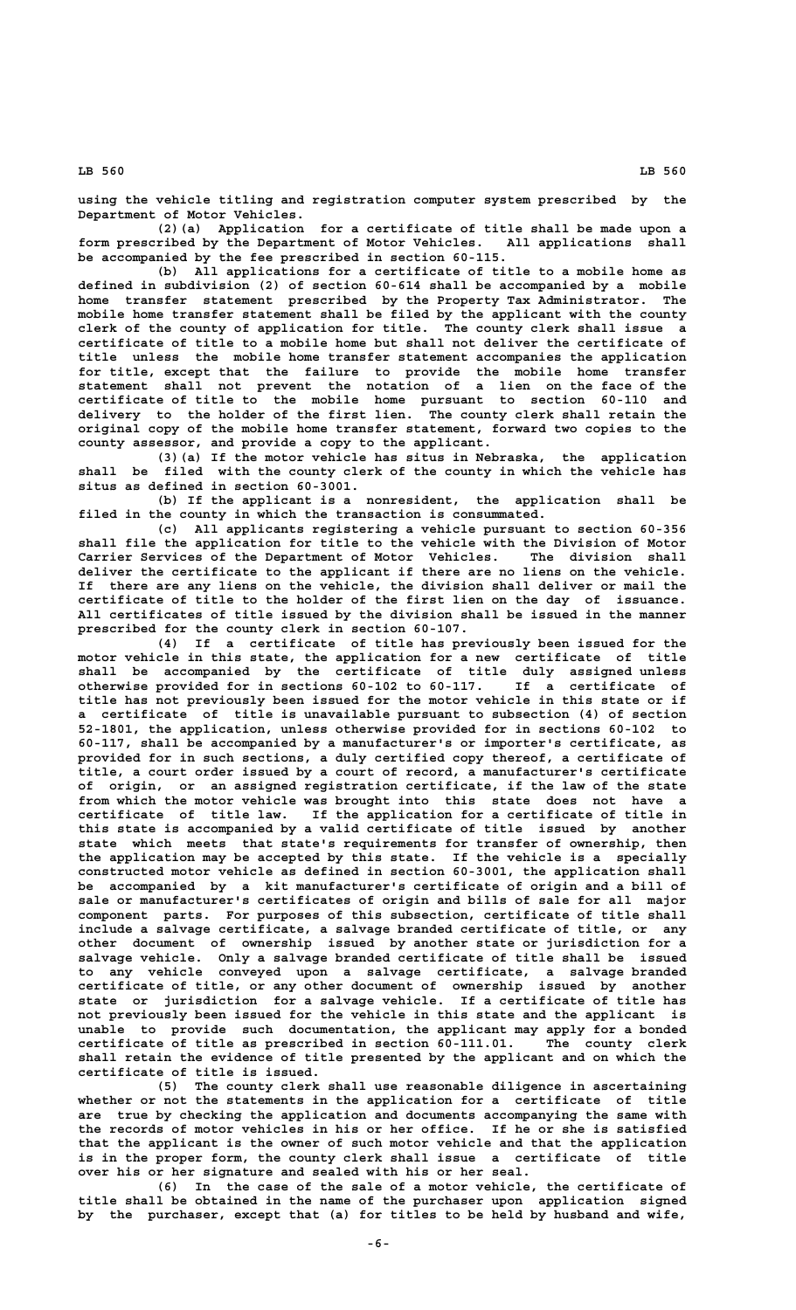**using the vehicle titling and registration computer system prescribed by the Department of Motor Vehicles.**

**(2)(a) Application for a certificate of title shall be made upon a form prescribed by the Department of Motor Vehicles. All applications shall be accompanied by the fee prescribed in section 60-115.**

**(b) All applications for a certificate of title to a mobile home as defined in subdivision (2) of section 60-614 shall be accompanied by a mobile home transfer statement prescribed by the Property Tax Administrator. The mobile home transfer statement shall be filed by the applicant with the county clerk of the county of application for title. The county clerk shall issue a certificate of title to a mobile home but shall not deliver the certificate of title unless the mobile home transfer statement accompanies the application for title, except that the failure to provide the mobile home transfer statement shall not prevent the notation of a lien on the face of the certificate of title to the mobile home pursuant to section 60-110 and delivery to the holder of the first lien. The county clerk shall retain the original copy of the mobile home transfer statement, forward two copies to the county assessor, and provide a copy to the applicant.**

**(3)(a) If the motor vehicle has situs in Nebraska, the application shall be filed with the county clerk of the county in which the vehicle has situs as defined in section 60-3001.**

**(b) If the applicant is a nonresident, the application shall be filed in the county in which the transaction is consummated.**

**(c) All applicants registering a vehicle pursuant to section 60-356 shall file the application for title to the vehicle with the Division of Motor Carrier Services of the Department of Motor Vehicles. The division shall deliver the certificate to the applicant if there are no liens on the vehicle. If there are any liens on the vehicle, the division shall deliver or mail the certificate of title to the holder of the first lien on the day of issuance. All certificates of title issued by the division shall be issued in the manner prescribed for the county clerk in section 60-107.**

**(4) If a certificate of title has previously been issued for the motor vehicle in this state, the application for a new certificate of title shall be accompanied by the certificate of title duly assigned unless otherwise provided for in sections 60-102 to 60-117. If a certificate of title has not previously been issued for the motor vehicle in this state or if a certificate of title is unavailable pursuant to subsection (4) of section 52-1801, the application, unless otherwise provided for in sections 60-102 to 60-117, shall be accompanied by a manufacturer's or importer's certificate, as provided for in such sections, a duly certified copy thereof, a certificate of title, a court order issued by a court of record, a manufacturer's certificate of origin, or an assigned registration certificate, if the law of the state from which the motor vehicle was brought into this state does not have a certificate of title law. If the application for a certificate of title in this state is accompanied by a valid certificate of title issued by another state which meets that state's requirements for transfer of ownership, then the application may be accepted by this state. If the vehicle is a specially constructed motor vehicle as defined in section 60-3001, the application shall be accompanied by a kit manufacturer's certificate of origin and a bill of sale or manufacturer's certificates of origin and bills of sale for all major component parts. For purposes of this subsection, certificate of title shall include a salvage certificate, a salvage branded certificate of title, or any other document of ownership issued by another state or jurisdiction for a salvage vehicle. Only a salvage branded certificate of title shall be issued to any vehicle conveyed upon a salvage certificate, a salvage branded certificate of title, or any other document of ownership issued by another state or jurisdiction for a salvage vehicle. If a certificate of title has not previously been issued for the vehicle in this state and the applicant is unable to provide such documentation, the applicant may apply for a bonded certificate of title as prescribed in section 60-111.01. The county clerk shall retain the evidence of title presented by the applicant and on which the certificate of title is issued.**

**(5) The county clerk shall use reasonable diligence in ascertaining whether or not the statements in the application for a certificate of title are true by checking the application and documents accompanying the same with the records of motor vehicles in his or her office. If he or she is satisfied that the applicant is the owner of such motor vehicle and that the application is in the proper form, the county clerk shall issue a certificate of title over his or her signature and sealed with his or her seal.**

**(6) In the case of the sale of a motor vehicle, the certificate of title shall be obtained in the name of the purchaser upon application signed by the purchaser, except that (a) for titles to be held by husband and wife,**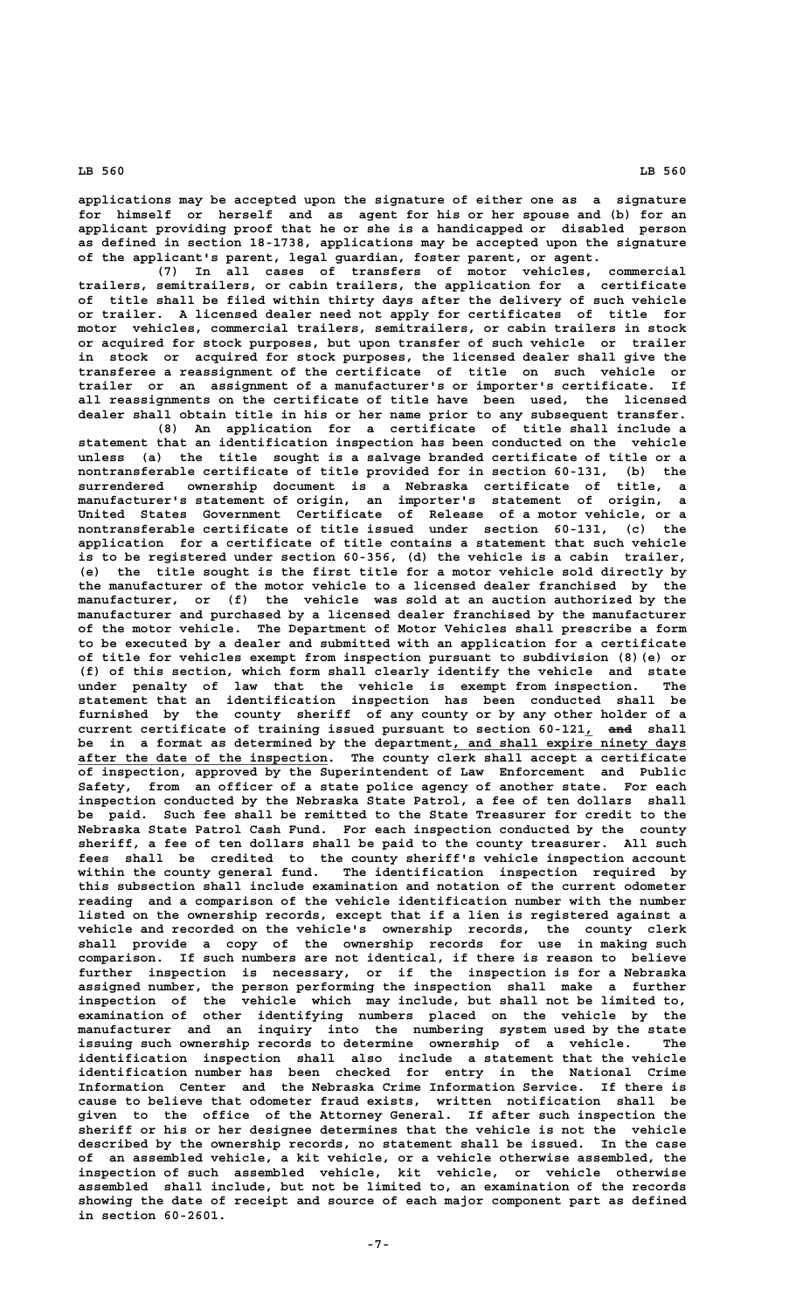**applications may be accepted upon the signature of either one as a signature for himself or herself and as agent for his or her spouse and (b) for an applicant providing proof that he or she is a handicapped or disabled person as defined in section 18-1738, applications may be accepted upon the signature of the applicant's parent, legal guardian, foster parent, or agent.**

**(7) In all cases of transfers of motor vehicles, commercial trailers, semitrailers, or cabin trailers, the application for a certificate of title shall be filed within thirty days after the delivery of such vehicle or trailer. A licensed dealer need not apply for certificates of title for motor vehicles, commercial trailers, semitrailers, or cabin trailers in stock or acquired for stock purposes, but upon transfer of such vehicle or trailer in stock or acquired for stock purposes, the licensed dealer shall give the transferee a reassignment of the certificate of title on such vehicle or trailer or an assignment of a manufacturer's or importer's certificate. If all reassignments on the certificate of title have been used, the licensed dealer shall obtain title in his or her name prior to any subsequent transfer.**

**(8) An application for a certificate of title shall include a statement that an identification inspection has been conducted on the vehicle unless (a) the title sought is a salvage branded certificate of title or a nontransferable certificate of title provided for in section 60-131, (b) the surrendered ownership document is a Nebraska certificate of title, a manufacturer's statement of origin, an importer's statement of origin, a United States Government Certificate of Release of a motor vehicle, or a nontransferable certificate of title issued under section 60-131, (c) the application for a certificate of title contains a statement that such vehicle is to be registered under section 60-356, (d) the vehicle is a cabin trailer, (e) the title sought is the first title for a motor vehicle sold directly by the manufacturer of the motor vehicle to a licensed dealer franchised by the manufacturer, or (f) the vehicle was sold at an auction authorized by the manufacturer and purchased by a licensed dealer franchised by the manufacturer of the motor vehicle. The Department of Motor Vehicles shall prescribe a form to be executed by a dealer and submitted with an application for a certificate of title for vehicles exempt from inspection pursuant to subdivision (8)(e) or (f) of this section, which form shall clearly identify the vehicle and state under penalty of law that the vehicle is exempt from inspection. The statement that an identification inspection has been conducted shall be furnished by the county sheriff of any county or by any other holder of a** current certificate of training issued pursuant to section 60-121<sub>1</sub> and shall be in a format as determined by the department, and shall expire ninety days  **\_\_\_\_\_\_\_\_\_\_\_\_\_\_\_\_\_\_\_\_\_\_\_\_\_\_\_\_\_\_\_\_ after the date of the inspection. The county clerk shall accept a certificate of inspection, approved by the Superintendent of Law Enforcement and Public Safety, from an officer of a state police agency of another state. For each inspection conducted by the Nebraska State Patrol, a fee of ten dollars shall be paid. Such fee shall be remitted to the State Treasurer for credit to the Nebraska State Patrol Cash Fund. For each inspection conducted by the county sheriff, a fee of ten dollars shall be paid to the county treasurer. All such fees shall be credited to the county sheriff's vehicle inspection account within the county general fund. The identification inspection required by this subsection shall include examination and notation of the current odometer reading and a comparison of the vehicle identification number with the number listed on the ownership records, except that if a lien is registered against a vehicle and recorded on the vehicle's ownership records, the county clerk shall provide a copy of the ownership records for use in making such comparison. If such numbers are not identical, if there is reason to believe further inspection is necessary, or if the inspection is for a Nebraska assigned number, the person performing the inspection shall make a further inspection of the vehicle which may include, but shall not be limited to, examination of other identifying numbers placed on the vehicle by the manufacturer and an inquiry into the numbering system used by the state issuing such ownership records to determine ownership of a vehicle. The identification inspection shall also include a statement that the vehicle identification number has been checked for entry in the National Crime Information Center and the Nebraska Crime Information Service. If there is cause to believe that odometer fraud exists, written notification shall be given to the office of the Attorney General. If after such inspection the sheriff or his or her designee determines that the vehicle is not the vehicle described by the ownership records, no statement shall be issued. In the case of an assembled vehicle, a kit vehicle, or a vehicle otherwise assembled, the inspection of such assembled vehicle, kit vehicle, or vehicle otherwise assembled shall include, but not be limited to, an examination of the records showing the date of receipt and source of each major component part as defined in section 60-2601.**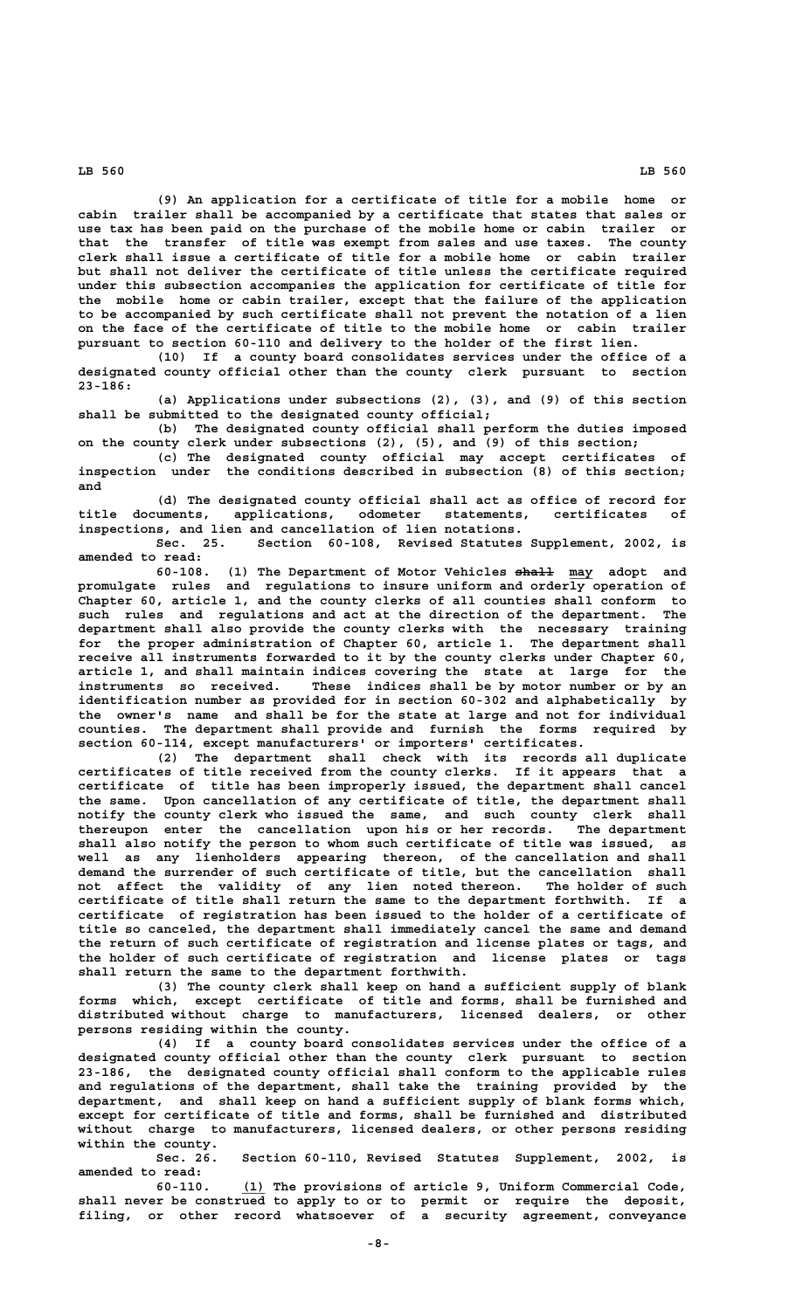**(9) An application for a certificate of title for a mobile home or cabin trailer shall be accompanied by a certificate that states that sales or use tax has been paid on the purchase of the mobile home or cabin trailer or that the transfer of title was exempt from sales and use taxes. The county clerk shall issue a certificate of title for a mobile home or cabin trailer but shall not deliver the certificate of title unless the certificate required under this subsection accompanies the application for certificate of title for the mobile home or cabin trailer, except that the failure of the application to be accompanied by such certificate shall not prevent the notation of a lien on the face of the certificate of title to the mobile home or cabin trailer pursuant to section 60-110 and delivery to the holder of the first lien.**

**(10) If a county board consolidates services under the office of a designated county official other than the county clerk pursuant to section 23-186:**

**(a) Applications under subsections (2), (3), and (9) of this section shall be submitted to the designated county official;**

**(b) The designated county official shall perform the duties imposed on the county clerk under subsections (2), (5), and (9) of this section;**

**(c) The designated county official may accept certificates of inspection under the conditions described in subsection (8) of this section; and**

**(d) The designated county official shall act as office of record for title documents, applications, odometer statements, certificates of inspections, and lien and cancellation of lien notations.**

Section 60-108, Revised Statutes Supplement, 2002, is **amended to read:**

**60-108. (1) The Department of Motor Vehicles shall may adopt and ————— \_\_\_ promulgate rules and regulations to insure uniform and orderly operation of Chapter 60, article 1, and the county clerks of all counties shall conform to such rules and regulations and act at the direction of the department. The department shall also provide the county clerks with the necessary training for the proper administration of Chapter 60, article 1. The department shall receive all instruments forwarded to it by the county clerks under Chapter 60, article 1, and shall maintain indices covering the state at large for the instruments so received. These indices shall be by motor number or by an identification number as provided for in section 60-302 and alphabetically by the owner's name and shall be for the state at large and not for individual counties. The department shall provide and furnish the forms required by section 60-114, except manufacturers' or importers' certificates.**

**(2) The department shall check with its records all duplicate certificates of title received from the county clerks. If it appears that a certificate of title has been improperly issued, the department shall cancel the same. Upon cancellation of any certificate of title, the department shall notify the county clerk who issued the same, and such county clerk shall thereupon enter the cancellation upon his or her records. The department shall also notify the person to whom such certificate of title was issued, as well as any lienholders appearing thereon, of the cancellation and shall demand the surrender of such certificate of title, but the cancellation shall not affect the validity of any lien noted thereon. The holder of such certificate of title shall return the same to the department forthwith. If a certificate of registration has been issued to the holder of a certificate of title so canceled, the department shall immediately cancel the same and demand the return of such certificate of registration and license plates or tags, and the holder of such certificate of registration and license plates or tags shall return the same to the department forthwith.**

**(3) The county clerk shall keep on hand a sufficient supply of blank forms which, except certificate of title and forms, shall be furnished and distributed without charge to manufacturers, licensed dealers, or other persons residing within the county.**

**(4) If a county board consolidates services under the office of a designated county official other than the county clerk pursuant to section 23-186, the designated county official shall conform to the applicable rules and regulations of the department, shall take the training provided by the department, and shall keep on hand a sufficient supply of blank forms which, except for certificate of title and forms, shall be furnished and distributed without charge to manufacturers, licensed dealers, or other persons residing within the county.**

**Sec. 26. Section 60-110, Revised Statutes Supplement, 2002, is amended to read:**

 **\_\_\_ 60-110. (1) The provisions of article 9, Uniform Commercial Code, shall never be construed to apply to or to permit or require the deposit, filing, or other record whatsoever of a security agreement, conveyance**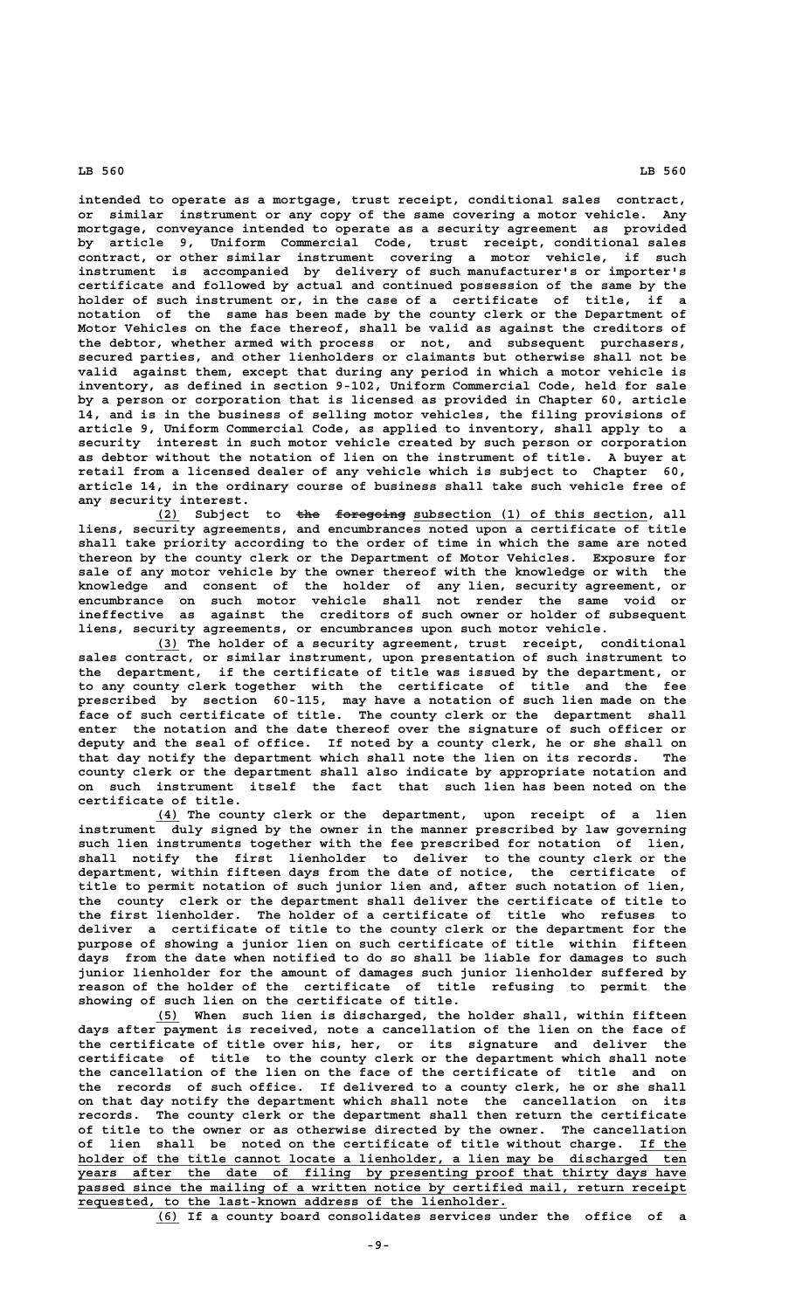**intended to operate as a mortgage, trust receipt, conditional sales contract, or similar instrument or any copy of the same covering a motor vehicle. Any mortgage, conveyance intended to operate as a security agreement as provided by article 9, Uniform Commercial Code, trust receipt, conditional sales contract, or other similar instrument covering a motor vehicle, if such instrument is accompanied by delivery of such manufacturer's or importer's certificate and followed by actual and continued possession of the same by the holder of such instrument or, in the case of a certificate of title, if a notation of the same has been made by the county clerk or the Department of Motor Vehicles on the face thereof, shall be valid as against the creditors of the debtor, whether armed with process or not, and subsequent purchasers, secured parties, and other lienholders or claimants but otherwise shall not be valid against them, except that during any period in which a motor vehicle is inventory, as defined in section 9-102, Uniform Commercial Code, held for sale by a person or corporation that is licensed as provided in Chapter 60, article 14, and is in the business of selling motor vehicles, the filing provisions of article 9, Uniform Commercial Code, as applied to inventory, shall apply to a security interest in such motor vehicle created by such person or corporation as debtor without the notation of lien on the instrument of title. A buyer at retail from a licensed dealer of any vehicle which is subject to Chapter 60, article 14, in the ordinary course of business shall take such vehicle free of any security interest.**

 **\_\_\_ ——— ————————— \_\_\_\_\_\_\_\_\_\_\_\_\_\_\_\_\_\_\_\_\_\_\_\_\_\_\_\_\_\_ (2) Subject to the foregoing subsection (1) of this section, all liens, security agreements, and encumbrances noted upon a certificate of title shall take priority according to the order of time in which the same are noted thereon by the county clerk or the Department of Motor Vehicles. Exposure for sale of any motor vehicle by the owner thereof with the knowledge or with the knowledge and consent of the holder of any lien, security agreement, or encumbrance on such motor vehicle shall not render the same void or ineffective as against the creditors of such owner or holder of subsequent liens, security agreements, or encumbrances upon such motor vehicle.**

 **\_\_\_ (3) The holder of a security agreement, trust receipt, conditional sales contract, or similar instrument, upon presentation of such instrument to the department, if the certificate of title was issued by the department, or to any county clerk together with the certificate of title and the fee prescribed by section 60-115, may have a notation of such lien made on the face of such certificate of title. The county clerk or the department shall enter the notation and the date thereof over the signature of such officer or deputy and the seal of office. If noted by a county clerk, he or she shall on that day notify the department which shall note the lien on its records. The county clerk or the department shall also indicate by appropriate notation and on such instrument itself the fact that such lien has been noted on the certificate of title.**

 **\_\_\_ (4) The county clerk or the department, upon receipt of a lien instrument duly signed by the owner in the manner prescribed by law governing such lien instruments together with the fee prescribed for notation of lien, shall notify the first lienholder to deliver to the county clerk or the department, within fifteen days from the date of notice, the certificate of title to permit notation of such junior lien and, after such notation of lien, the county clerk or the department shall deliver the certificate of title to the first lienholder. The holder of a certificate of title who refuses to deliver a certificate of title to the county clerk or the department for the purpose of showing a junior lien on such certificate of title within fifteen days from the date when notified to do so shall be liable for damages to such junior lienholder for the amount of damages such junior lienholder suffered by reason of the holder of the certificate of title refusing to permit the showing of such lien on the certificate of title.**

 **\_\_\_ (5) When such lien is discharged, the holder shall, within fifteen days after payment is received, note a cancellation of the lien on the face of the certificate of title over his, her, or its signature and deliver the certificate of title to the county clerk or the department which shall note the cancellation of the lien on the face of the certificate of title and on the records of such office. If delivered to a county clerk, he or she shall on that day notify the department which shall note the cancellation on its records. The county clerk or the department shall then return the certificate of title to the owner or as otherwise directed by the owner. The cancellation of lien shall be noted on the certificate of title without charge. If the \_\_\_\_\_\_ \_\_\_\_\_\_\_\_\_\_\_\_\_\_\_\_\_\_\_\_\_\_\_\_\_\_\_\_\_\_\_\_\_\_\_\_\_\_\_\_\_\_\_\_\_\_\_\_\_\_\_\_\_\_\_\_\_\_\_\_\_\_\_\_\_\_\_\_\_\_\_\_\_\_\_\_\_\_ holder of the title cannot locate a lienholder, a lien may be discharged ten \_\_\_\_\_\_\_\_\_\_\_\_\_\_\_\_\_\_\_\_\_\_\_\_\_\_\_\_\_\_\_\_\_\_\_\_\_\_\_\_\_\_\_\_\_\_\_\_\_\_\_\_\_\_\_\_\_\_\_\_\_\_\_\_\_\_\_\_\_\_\_\_\_\_\_\_\_\_ years after the date of filing by presenting proof that thirty days have \_\_\_\_\_\_\_\_\_\_\_\_\_\_\_\_\_\_\_\_\_\_\_\_\_\_\_\_\_\_\_\_\_\_\_\_\_\_\_\_\_\_\_\_\_\_\_\_\_\_\_\_\_\_\_\_\_\_\_\_\_\_\_\_\_\_\_\_\_\_\_\_\_\_\_\_\_\_ passed since the mailing of a written notice by certified mail, return receipt \_\_\_\_\_\_\_\_\_\_\_\_\_\_\_\_\_\_\_\_\_\_\_\_\_\_\_\_\_\_\_\_\_\_\_\_\_\_\_\_\_\_\_\_\_\_\_\_\_\_\_\_\_\_\_ requested, to the last-known address of the lienholder.**

 **\_\_\_ (6) If a county board consolidates services under the office of a**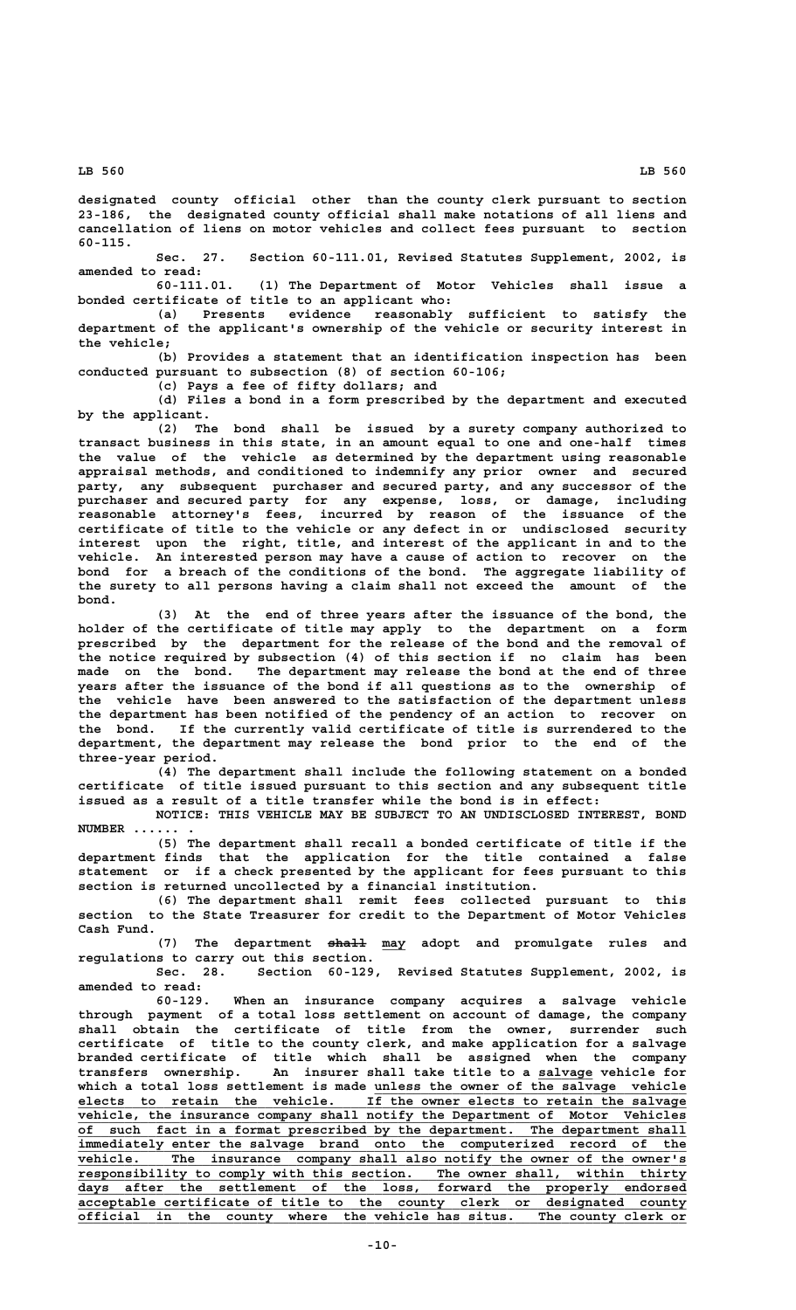**designated county official other than the county clerk pursuant to section 23-186, the designated county official shall make notations of all liens and cancellation of liens on motor vehicles and collect fees pursuant to section 60-115.**

**Sec. 27. Section 60-111.01, Revised Statutes Supplement, 2002, is amended to read:**

**60-111.01. (1) The Department of Motor Vehicles shall issue a bonded certificate of title to an applicant who:**

**(a) Presents evidence reasonably sufficient to satisfy the department of the applicant's ownership of the vehicle or security interest in the vehicle;**

**(b) Provides a statement that an identification inspection has been conducted pursuant to subsection (8) of section 60-106;**

**(c) Pays a fee of fifty dollars; and**

**(d) Files a bond in a form prescribed by the department and executed by the applicant.**

**(2) The bond shall be issued by a surety company authorized to transact business in this state, in an amount equal to one and one-half times the value of the vehicle as determined by the department using reasonable appraisal methods, and conditioned to indemnify any prior owner and secured party, any subsequent purchaser and secured party, and any successor of the purchaser and secured party for any expense, loss, or damage, including reasonable attorney's fees, incurred by reason of the issuance of the certificate of title to the vehicle or any defect in or undisclosed security interest upon the right, title, and interest of the applicant in and to the vehicle. An interested person may have a cause of action to recover on the bond for a breach of the conditions of the bond. The aggregate liability of the surety to all persons having a claim shall not exceed the amount of the bond.**

**(3) At the end of three years after the issuance of the bond, the holder of the certificate of title may apply to the department on a form prescribed by the department for the release of the bond and the removal of the notice required by subsection (4) of this section if no claim has been made on the bond. The department may release the bond at the end of three years after the issuance of the bond if all questions as to the ownership of the vehicle have been answered to the satisfaction of the department unless the department has been notified of the pendency of an action to recover on the bond. If the currently valid certificate of title is surrendered to the department, the department may release the bond prior to the end of the three-year period.**

**(4) The department shall include the following statement on a bonded certificate of title issued pursuant to this section and any subsequent title issued as a result of a title transfer while the bond is in effect:**

**NOTICE: THIS VEHICLE MAY BE SUBJECT TO AN UNDISCLOSED INTEREST, BOND NUMBER ...... .**

**(5) The department shall recall a bonded certificate of title if the department finds that the application for the title contained a false statement or if a check presented by the applicant for fees pursuant to this section is returned uncollected by a financial institution.**

**(6) The department shall remit fees collected pursuant to this section to the State Treasurer for credit to the Department of Motor Vehicles Cash Fund.**

 **————— \_\_\_ (7) The department shall may adopt and promulgate rules and regulations to carry out this section.**

**Sec. 28. Section 60-129, Revised Statutes Supplement, 2002, is amended to read:**

**60-129. When an insurance company acquires a salvage vehicle through payment of a total loss settlement on account of damage, the company shall obtain the certificate of title from the owner, surrender such certificate of title to the county clerk, and make application for a salvage branded certificate of title which shall be assigned when the company transfers ownership. An insurer shall take title to a salvage vehicle for \_\_\_\_\_\_\_** which a total loss settlement is made unless the owner of the salvage vehicle  **\_\_\_\_\_\_\_\_\_\_\_\_\_\_\_\_\_\_\_\_\_\_\_\_\_\_\_\_\_\_\_\_\_\_\_\_\_\_\_\_\_\_\_\_\_\_\_\_\_\_\_\_\_\_\_\_\_\_\_\_\_\_\_\_\_\_\_\_\_\_\_\_\_\_\_\_\_\_ elects to retain the vehicle. If the owner elects to retain the salvage \_\_\_\_\_\_\_\_\_\_\_\_\_\_\_\_\_\_\_\_\_\_\_\_\_\_\_\_\_\_\_\_\_\_\_\_\_\_\_\_\_\_\_\_\_\_\_\_\_\_\_\_\_\_\_\_\_\_\_\_\_\_\_\_\_\_\_\_\_\_\_\_\_\_\_\_\_\_ vehicle, the insurance company shall notify the Department of Motor Vehicles \_\_\_\_\_\_\_\_\_\_\_\_\_\_\_\_\_\_\_\_\_\_\_\_\_\_\_\_\_\_\_\_\_\_\_\_\_\_\_\_\_\_\_\_\_\_\_\_\_\_\_\_\_\_\_\_\_\_\_\_\_\_\_\_\_\_\_\_\_\_\_\_\_\_\_\_\_\_ of such fact in a format prescribed by the department. The department shall** immediately enter the salvage brand onto the computerized record of the vehicle. The insurance company shall also notify the owner of the owner's  **\_\_\_\_\_\_\_\_\_\_\_\_\_\_\_\_\_\_\_\_\_\_\_\_\_\_\_\_\_\_\_\_\_\_\_\_\_\_\_\_\_\_\_\_\_\_\_\_\_\_\_\_\_\_\_\_\_\_\_\_\_\_\_\_\_\_\_\_\_\_\_\_\_\_\_\_\_\_ responsibility to comply with this section. The owner shall, within thirty \_\_\_\_\_\_\_\_\_\_\_\_\_\_\_\_\_\_\_\_\_\_\_\_\_\_\_\_\_\_\_\_\_\_\_\_\_\_\_\_\_\_\_\_\_\_\_\_\_\_\_\_\_\_\_\_\_\_\_\_\_\_\_\_\_\_\_\_\_\_\_\_\_\_\_\_\_\_ days after the settlement of the loss, forward the properly endorsed \_\_\_\_\_\_\_\_\_\_\_\_\_\_\_\_\_\_\_\_\_\_\_\_\_\_\_\_\_\_\_\_\_\_\_\_\_\_\_\_\_\_\_\_\_\_\_\_\_\_\_\_\_\_\_\_\_\_\_\_\_\_\_\_\_\_\_\_\_\_\_\_\_\_\_\_\_\_ acceptable certificate of title to the county clerk or designated county \_\_\_\_\_\_\_\_\_\_\_\_\_\_\_\_\_\_\_\_\_\_\_\_\_\_\_\_\_\_\_\_\_\_\_\_\_\_\_\_\_\_\_\_\_\_\_\_\_\_\_\_\_\_\_\_\_\_\_\_\_\_\_\_\_\_\_\_\_\_\_\_\_\_\_\_\_\_ official in the county where the vehicle has situs. The county clerk or**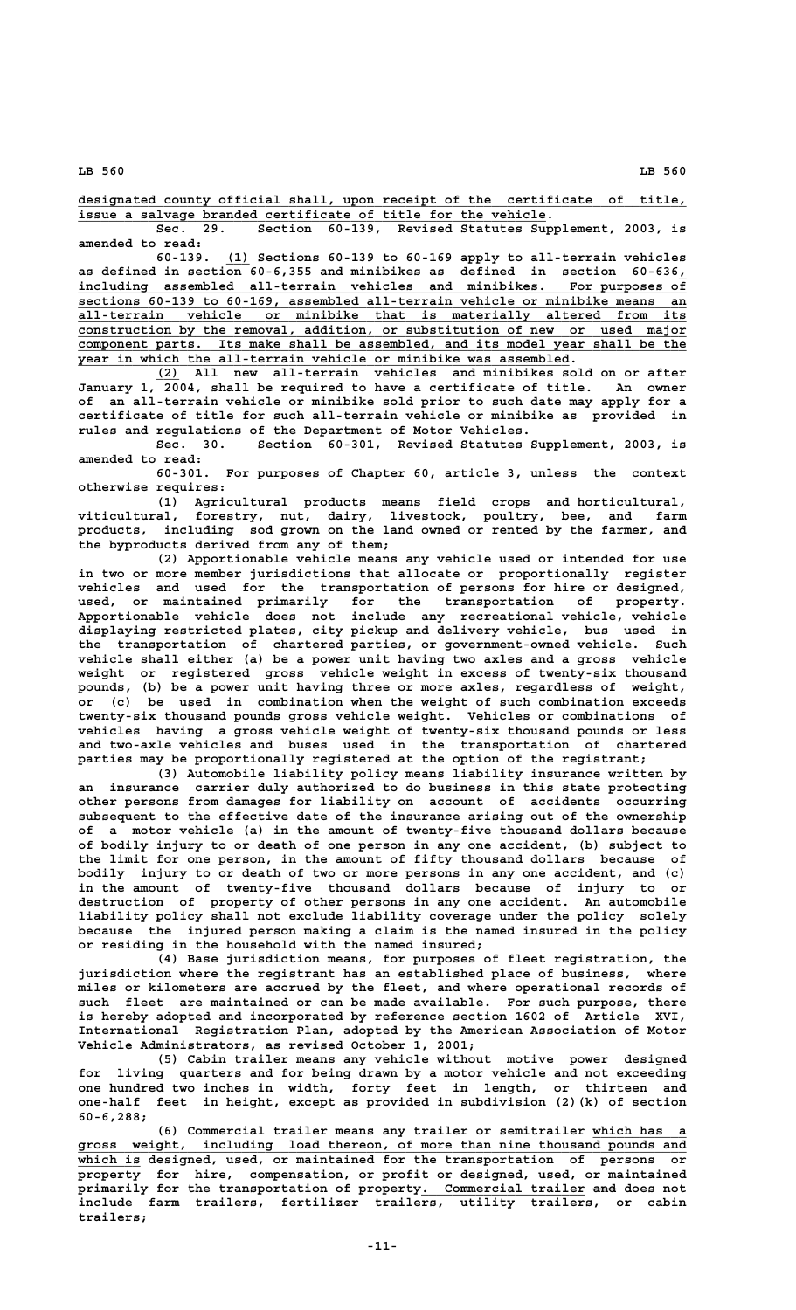**\_\_\_\_\_\_\_\_\_\_\_\_\_\_\_\_\_\_\_\_\_\_\_\_\_\_\_\_\_\_\_\_\_\_\_\_\_\_\_\_\_\_\_\_\_\_\_\_\_\_\_\_\_\_\_\_\_\_\_\_\_\_\_\_\_\_\_\_\_\_\_\_\_\_\_\_\_\_ designated county official shall, upon receipt of the certificate of title, \_\_\_\_\_\_\_\_\_\_\_\_\_\_\_\_\_\_\_\_\_\_\_\_\_\_\_\_\_\_\_\_\_\_\_\_\_\_\_\_\_\_\_\_\_\_\_\_\_\_\_\_\_\_\_\_\_\_\_\_ issue a salvage branded certificate of title for the vehicle.**

**Sec. 29. Section 60-139, Revised Statutes Supplement, 2003, is amended to read:**

 **\_\_\_ 60-139. (1) Sections 60-139 to 60-169 apply to all-terrain vehicles as defined in section 60-6,355 and minibikes as defined in section 60-636,\_ \_\_\_\_\_\_\_\_\_\_\_\_\_\_\_\_\_\_\_\_\_\_\_\_\_\_\_\_\_\_\_\_\_\_\_\_\_\_\_\_\_\_\_\_\_\_\_\_\_\_\_\_\_\_\_\_\_\_\_\_\_\_\_\_\_\_\_\_\_\_\_\_\_\_\_\_\_\_ including assembled all-terrain vehicles and minibikes. For purposes of \_\_\_\_\_\_\_\_\_\_\_\_\_\_\_\_\_\_\_\_\_\_\_\_\_\_\_\_\_\_\_\_\_\_\_\_\_\_\_\_\_\_\_\_\_\_\_\_\_\_\_\_\_\_\_\_\_\_\_\_\_\_\_\_\_\_\_\_\_\_\_\_\_\_\_\_\_\_ sections 60-139 to 60-169, assembled all-terrain vehicle or minibike means an \_\_\_\_\_\_\_\_\_\_\_\_\_\_\_\_\_\_\_\_\_\_\_\_\_\_\_\_\_\_\_\_\_\_\_\_\_\_\_\_\_\_\_\_\_\_\_\_\_\_\_\_\_\_\_\_\_\_\_\_\_\_\_\_\_\_\_\_\_\_\_\_\_\_\_\_\_\_ all-terrain vehicle or minibike that is materially altered from its \_\_\_\_\_\_\_\_\_\_\_\_\_\_\_\_\_\_\_\_\_\_\_\_\_\_\_\_\_\_\_\_\_\_\_\_\_\_\_\_\_\_\_\_\_\_\_\_\_\_\_\_\_\_\_\_\_\_\_\_\_\_\_\_\_\_\_\_\_\_\_\_\_\_\_\_\_\_ construction by the removal, addition, or substitution of new or used major \_\_\_\_\_\_\_\_\_\_\_\_\_\_\_\_\_\_\_\_\_\_\_\_\_\_\_\_\_\_\_\_\_\_\_\_\_\_\_\_\_\_\_\_\_\_\_\_\_\_\_\_\_\_\_\_\_\_\_\_\_\_\_\_\_\_\_\_\_\_\_\_\_\_\_\_\_\_ component parts. Its make shall be assembled, and its model year shall be the \_\_\_\_\_\_\_\_\_\_\_\_\_\_\_\_\_\_\_\_\_\_\_\_\_\_\_\_\_\_\_\_\_\_\_\_\_\_\_\_\_\_\_\_\_\_\_\_\_\_\_\_\_\_\_\_\_\_\_\_\_\_\_ year in which the all-terrain vehicle or minibike was assembled.**

 **\_\_\_ (2) All new all-terrain vehicles and minibikes sold on or after January 1, 2004, shall be required to have a certificate of title. An owner of an all-terrain vehicle or minibike sold prior to such date may apply for a certificate of title for such all-terrain vehicle or minibike as provided in rules and regulations of the Department of Motor Vehicles.**

**Sec. 30. Section 60-301, Revised Statutes Supplement, 2003, is amended to read:**

**60-301. For purposes of Chapter 60, article 3, unless the context otherwise requires:**

**(1) Agricultural products means field crops and horticultural, viticultural, forestry, nut, dairy, livestock, poultry, bee, and farm products, including sod grown on the land owned or rented by the farmer, and the byproducts derived from any of them;**

**(2) Apportionable vehicle means any vehicle used or intended for use in two or more member jurisdictions that allocate or proportionally register vehicles and used for the transportation of persons for hire or designed, used, or maintained primarily for the transportation of property. Apportionable vehicle does not include any recreational vehicle, vehicle displaying restricted plates, city pickup and delivery vehicle, bus used in the transportation of chartered parties, or government-owned vehicle. Such vehicle shall either (a) be a power unit having two axles and a gross vehicle weight or registered gross vehicle weight in excess of twenty-six thousand pounds, (b) be a power unit having three or more axles, regardless of weight, or (c) be used in combination when the weight of such combination exceeds twenty-six thousand pounds gross vehicle weight. Vehicles or combinations of vehicles having a gross vehicle weight of twenty-six thousand pounds or less and two-axle vehicles and buses used in the transportation of chartered parties may be proportionally registered at the option of the registrant;**

**(3) Automobile liability policy means liability insurance written by an insurance carrier duly authorized to do business in this state protecting other persons from damages for liability on account of accidents occurring subsequent to the effective date of the insurance arising out of the ownership of a motor vehicle (a) in the amount of twenty-five thousand dollars because of bodily injury to or death of one person in any one accident, (b) subject to the limit for one person, in the amount of fifty thousand dollars because of bodily injury to or death of two or more persons in any one accident, and (c) in the amount of twenty-five thousand dollars because of injury to or destruction of property of other persons in any one accident. An automobile liability policy shall not exclude liability coverage under the policy solely because the injured person making a claim is the named insured in the policy or residing in the household with the named insured;**

**(4) Base jurisdiction means, for purposes of fleet registration, the jurisdiction where the registrant has an established place of business, where miles or kilometers are accrued by the fleet, and where operational records of such fleet are maintained or can be made available. For such purpose, there is hereby adopted and incorporated by reference section 1602 of Article XVI, International Registration Plan, adopted by the American Association of Motor Vehicle Administrators, as revised October 1, 2001;**

**(5) Cabin trailer means any vehicle without motive power designed for living quarters and for being drawn by a motor vehicle and not exceeding one hundred two inches in width, forty feet in length, or thirteen and one-half feet in height, except as provided in subdivision (2)(k) of section 60-6,288;**

(6) Commercial trailer means any trailer or semitrailer which has  **\_\_\_\_\_\_\_\_\_\_\_\_\_\_\_\_\_\_\_\_\_\_\_\_\_\_\_\_\_\_\_\_\_\_\_\_\_\_\_\_\_\_\_\_\_\_\_\_\_\_\_\_\_\_\_\_\_\_\_\_\_\_\_\_\_\_\_\_\_\_\_\_\_\_\_\_\_\_ gross weight, including load thereon, of more than nine thousand pounds and \_\_\_\_\_\_\_\_ which is designed, used, or maintained for the transportation of persons or property for hire, compensation, or profit or designed, used, or maintained \_\_\_\_\_\_\_\_\_\_\_\_\_\_\_\_\_\_\_\_\_ ——— primarily for the transportation of property. Commercial trailer and does not include farm trailers, fertilizer trailers, utility trailers, or cabin trailers;**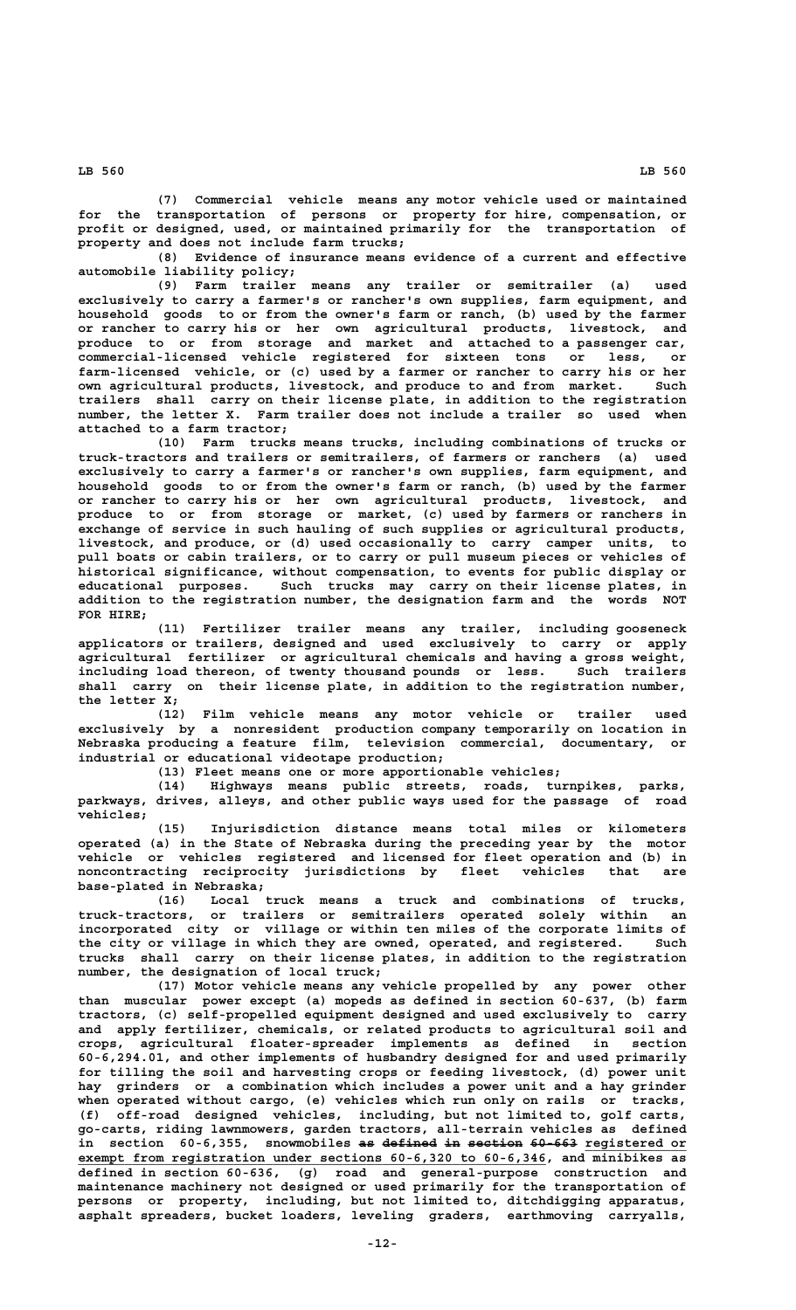**(7) Commercial vehicle means any motor vehicle used or maintained**

**for the transportation of persons or property for hire, compensation, or profit or designed, used, or maintained primarily for the transportation of property and does not include farm trucks;**

**(8) Evidence of insurance means evidence of a current and effective automobile liability policy;**

**(9) Farm trailer means any trailer or semitrailer (a) used exclusively to carry a farmer's or rancher's own supplies, farm equipment, and household goods to or from the owner's farm or ranch, (b) used by the farmer or rancher to carry his or her own agricultural products, livestock, and produce to or from storage and market and attached to a passenger car, commercial-licensed vehicle registered for sixteen tons or less, or farm-licensed vehicle, or (c) used by a farmer or rancher to carry his or her own agricultural products, livestock, and produce to and from market. Such trailers shall carry on their license plate, in addition to the registration number, the letter X. Farm trailer does not include a trailer so used when attached to a farm tractor;**

**(10) Farm trucks means trucks, including combinations of trucks or truck-tractors and trailers or semitrailers, of farmers or ranchers (a) used exclusively to carry a farmer's or rancher's own supplies, farm equipment, and household goods to or from the owner's farm or ranch, (b) used by the farmer or rancher to carry his or her own agricultural products, livestock, and produce to or from storage or market, (c) used by farmers or ranchers in exchange of service in such hauling of such supplies or agricultural products, livestock, and produce, or (d) used occasionally to carry camper units, to pull boats or cabin trailers, or to carry or pull museum pieces or vehicles of historical significance, without compensation, to events for public display or educational purposes. Such trucks may carry on their license plates, in addition to the registration number, the designation farm and the words NOT FOR HIRE;**

**(11) Fertilizer trailer means any trailer, including gooseneck applicators or trailers, designed and used exclusively to carry or apply agricultural fertilizer or agricultural chemicals and having a gross weight, including load thereon, of twenty thousand pounds or less. Such trailers shall carry on their license plate, in addition to the registration number, the letter X;**

**(12) Film vehicle means any motor vehicle or trailer used exclusively by a nonresident production company temporarily on location in Nebraska producing a feature film, television commercial, documentary, or industrial or educational videotape production;**

**(13) Fleet means one or more apportionable vehicles;**

**(14) Highways means public streets, roads, turnpikes, parks, parkways, drives, alleys, and other public ways used for the passage of road vehicles;**

**(15) Injurisdiction distance means total miles or kilometers operated (a) in the State of Nebraska during the preceding year by the motor vehicle or vehicles registered and licensed for fleet operation and (b) in noncontracting reciprocity jurisdictions by fleet vehicles that are base-plated in Nebraska;**

**(16) Local truck means a truck and combinations of trucks, truck-tractors, or trailers or semitrailers operated solely within an incorporated city or village or within ten miles of the corporate limits of the city or village in which they are owned, operated, and registered. Such trucks shall carry on their license plates, in addition to the registration number, the designation of local truck;**

**(17) Motor vehicle means any vehicle propelled by any power other than muscular power except (a) mopeds as defined in section 60-637, (b) farm tractors, (c) self-propelled equipment designed and used exclusively to carry and apply fertilizer, chemicals, or related products to agricultural soil and crops, agricultural floater-spreader implements as defined in section 60-6,294.01, and other implements of husbandry designed for and used primarily for tilling the soil and harvesting crops or feeding livestock, (d) power unit hay grinders or a combination which includes a power unit and a hay grinder when operated without cargo, (e) vehicles which run only on rails or tracks, (f) off-road designed vehicles, including, but not limited to, golf carts, go-carts, riding lawnmowers, garden tractors, all-terrain vehicles as defined** in section 60-6,355, snowmobiles as defined in section 60-663 registered or  **\_\_\_\_\_\_\_\_\_\_\_\_\_\_\_\_\_\_\_\_\_\_\_\_\_\_\_\_\_\_\_\_\_\_\_\_\_\_\_\_\_\_\_\_\_\_\_\_\_\_\_\_\_\_\_\_\_\_\_\_ exempt from registration under sections 60-6,320 to 60-6,346, and minibikes as defined in section 60-636, (g) road and general-purpose construction and maintenance machinery not designed or used primarily for the transportation of persons or property, including, but not limited to, ditchdigging apparatus, asphalt spreaders, bucket loaders, leveling graders, earthmoving carryalls,**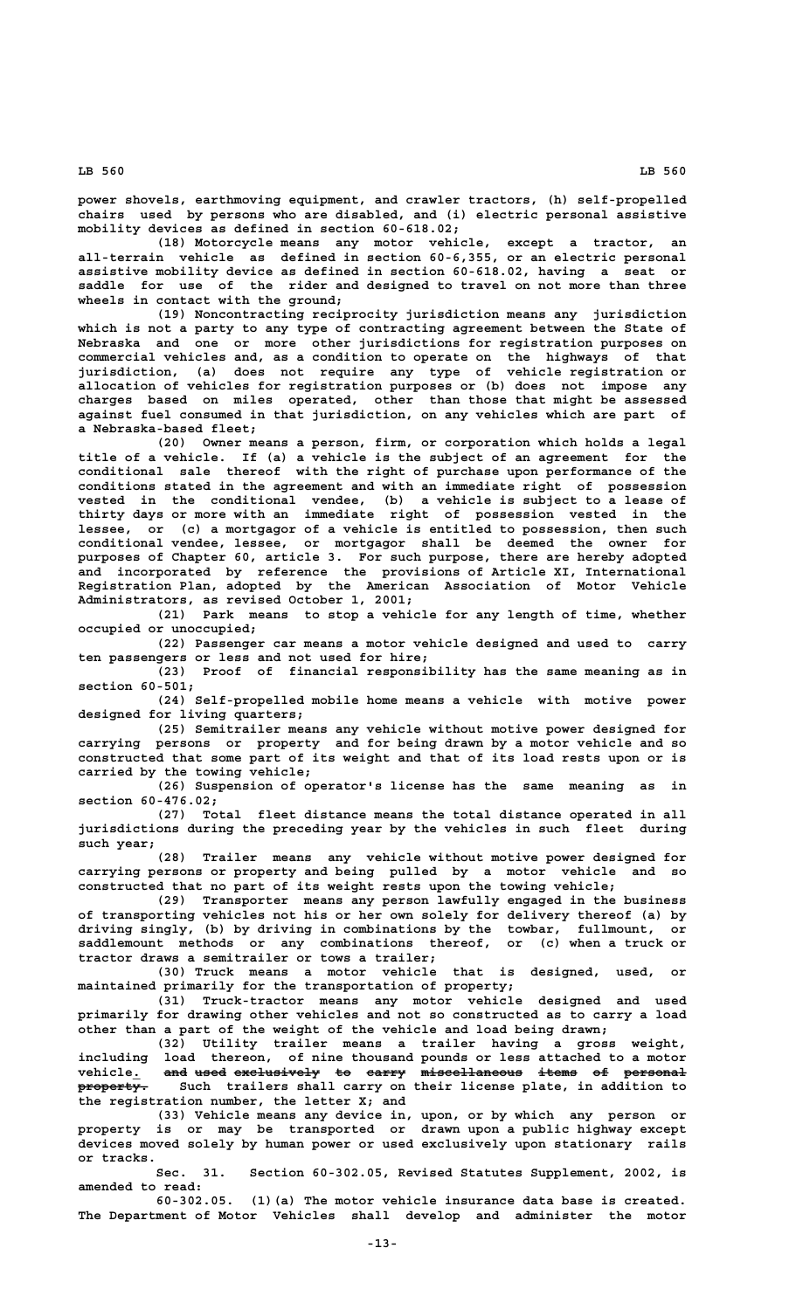**power shovels, earthmoving equipment, and crawler tractors, (h) self-propelled chairs used by persons who are disabled, and (i) electric personal assistive mobility devices as defined in section 60-618.02;**

**(18) Motorcycle means any motor vehicle, except a tractor, an all-terrain vehicle as defined in section 60-6,355, or an electric personal assistive mobility device as defined in section 60-618.02, having a seat or saddle for use of the rider and designed to travel on not more than three wheels in contact with the ground;**

**(19) Noncontracting reciprocity jurisdiction means any jurisdiction which is not a party to any type of contracting agreement between the State of Nebraska and one or more other jurisdictions for registration purposes on commercial vehicles and, as a condition to operate on the highways of that jurisdiction, (a) does not require any type of vehicle registration or allocation of vehicles for registration purposes or (b) does not impose any charges based on miles operated, other than those that might be assessed against fuel consumed in that jurisdiction, on any vehicles which are part of a Nebraska-based fleet;**

**(20) Owner means a person, firm, or corporation which holds a legal title of a vehicle. If (a) a vehicle is the subject of an agreement for the conditional sale thereof with the right of purchase upon performance of the conditions stated in the agreement and with an immediate right of possession vested in the conditional vendee, (b) a vehicle is subject to a lease of thirty days or more with an immediate right of possession vested in the lessee, or (c) a mortgagor of a vehicle is entitled to possession, then such conditional vendee, lessee, or mortgagor shall be deemed the owner for purposes of Chapter 60, article 3. For such purpose, there are hereby adopted and incorporated by reference the provisions of Article XI, International Registration Plan, adopted by the American Association of Motor Vehicle Administrators, as revised October 1, 2001;**

**(21) Park means to stop a vehicle for any length of time, whether occupied or unoccupied;**

**(22) Passenger car means a motor vehicle designed and used to carry ten passengers or less and not used for hire;**

**(23) Proof of financial responsibility has the same meaning as in section 60-501;**

**(24) Self-propelled mobile home means a vehicle with motive power designed for living quarters;**

**(25) Semitrailer means any vehicle without motive power designed for carrying persons or property and for being drawn by a motor vehicle and so constructed that some part of its weight and that of its load rests upon or is carried by the towing vehicle;**

**(26) Suspension of operator's license has the same meaning as in section 60-476.02;**

**(27) Total fleet distance means the total distance operated in all jurisdictions during the preceding year by the vehicles in such fleet during such year;**

**(28) Trailer means any vehicle without motive power designed for carrying persons or property and being pulled by a motor vehicle and so constructed that no part of its weight rests upon the towing vehicle;**

**(29) Transporter means any person lawfully engaged in the business of transporting vehicles not his or her own solely for delivery thereof (a) by driving singly, (b) by driving in combinations by the towbar, fullmount, or saddlemount methods or any combinations thereof, or (c) when a truck or tractor draws a semitrailer or tows a trailer;**

**(30) Truck means a motor vehicle that is designed, used, or maintained primarily for the transportation of property;**

**(31) Truck-tractor means any motor vehicle designed and used primarily for drawing other vehicles and not so constructed as to carry a load other than a part of the weight of the vehicle and load being drawn;**

**(32) Utility trailer means a trailer having a gross weight, including load thereon, of nine thousand pounds or less attached to a motor** and used exclusively to carry miscellaneous items of personal property. Such trailers shall carry on their license plate, in addition to **the registration number, the letter X; and**

**(33) Vehicle means any device in, upon, or by which any person or property is or may be transported or drawn upon a public highway except devices moved solely by human power or used exclusively upon stationary rails or tracks.**

**Sec. 31. Section 60-302.05, Revised Statutes Supplement, 2002, is amended to read:**

**60-302.05. (1)(a) The motor vehicle insurance data base is created. The Department of Motor Vehicles shall develop and administer the motor**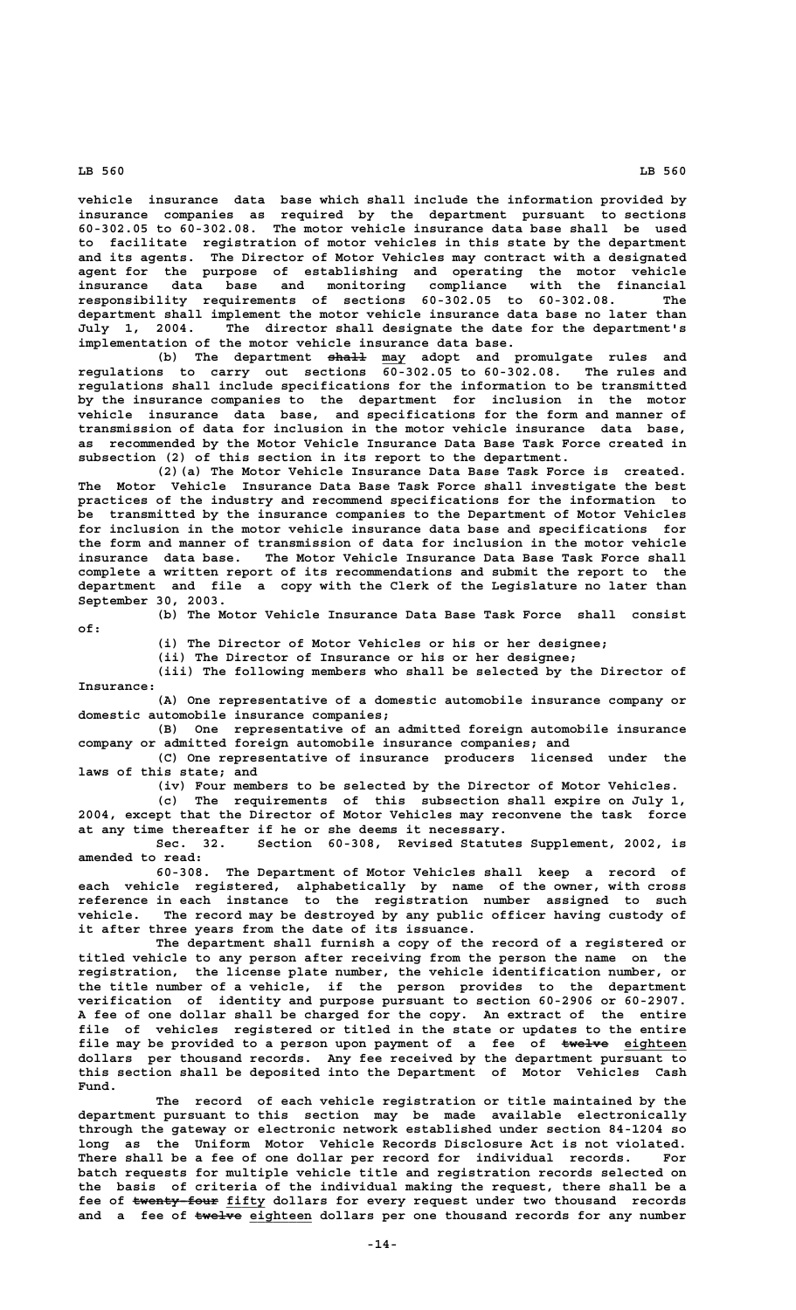**vehicle insurance data base which shall include the information provided by insurance companies as required by the department pursuant to sections 60-302.05 to 60-302.08. The motor vehicle insurance data base shall be used to facilitate registration of motor vehicles in this state by the department and its agents. The Director of Motor Vehicles may contract with a designated agent for the purpose of establishing and operating the motor vehicle insurance data base and monitoring compliance with the financial responsibility requirements of sections 60-302.05 to 60-302.08. The department shall implement the motor vehicle insurance data base no later than** The director shall designate the date for the department's **implementation of the motor vehicle insurance data base.**

 **————— \_\_\_ (b) The department shall may adopt and promulgate rules and regulations to carry out sections 60-302.05 to 60-302.08. The rules and regulations shall include specifications for the information to be transmitted by the insurance companies to the department for inclusion in the motor vehicle insurance data base, and specifications for the form and manner of transmission of data for inclusion in the motor vehicle insurance data base, as recommended by the Motor Vehicle Insurance Data Base Task Force created in subsection (2) of this section in its report to the department.**

**(2)(a) The Motor Vehicle Insurance Data Base Task Force is created. The Motor Vehicle Insurance Data Base Task Force shall investigate the best practices of the industry and recommend specifications for the information to be transmitted by the insurance companies to the Department of Motor Vehicles for inclusion in the motor vehicle insurance data base and specifications for the form and manner of transmission of data for inclusion in the motor vehicle insurance data base. The Motor Vehicle Insurance Data Base Task Force shall complete a written report of its recommendations and submit the report to the department and file a copy with the Clerk of the Legislature no later than September 30, 2003.**

 **of:**

**(b) The Motor Vehicle Insurance Data Base Task Force shall consist**

**(i) The Director of Motor Vehicles or his or her designee;**

**(ii) The Director of Insurance or his or her designee;**

**(iii) The following members who shall be selected by the Director of Insurance:**

**(A) One representative of a domestic automobile insurance company or domestic automobile insurance companies;**

**(B) One representative of an admitted foreign automobile insurance company or admitted foreign automobile insurance companies; and**

**(C) One representative of insurance producers licensed under the laws of this state; and**

**(iv) Four members to be selected by the Director of Motor Vehicles.**

**(c) The requirements of this subsection shall expire on July 1, 2004, except that the Director of Motor Vehicles may reconvene the task force at any time thereafter if he or she deems it necessary.**

**Sec. 32. Section 60-308, Revised Statutes Supplement, 2002, is amended to read:**

**60-308. The Department of Motor Vehicles shall keep a record of each vehicle registered, alphabetically by name of the owner, with cross reference in each instance to the registration number assigned to such vehicle. The record may be destroyed by any public officer having custody of it after three years from the date of its issuance.**

**The department shall furnish a copy of the record of a registered or titled vehicle to any person after receiving from the person the name on the registration, the license plate number, the vehicle identification number, or the title number of a vehicle, if the person provides to the department verification of identity and purpose pursuant to section 60-2906 or 60-2907. A fee of one dollar shall be charged for the copy. An extract of the entire file of vehicles registered or titled in the state or updates to the entire** file may be provided to a person upon payment of a fee of  $\epsilon$ welve eighteen **dollars per thousand records. Any fee received by the department pursuant to this section shall be deposited into the Department of Motor Vehicles Cash Fund.**

**The record of each vehicle registration or title maintained by the department pursuant to this section may be made available electronically through the gateway or electronic network established under section 84-1204 so long as the Uniform Motor Vehicle Records Disclosure Act is not violated. There shall be a fee of one dollar per record for individual records. For batch requests for multiple vehicle title and registration records selected on the basis of criteria of the individual making the request, there shall be a** fee of twenty four fifty dollars for every request under two thousand records and a fee of  $t$ welve eighteen dollars per one thousand records for any number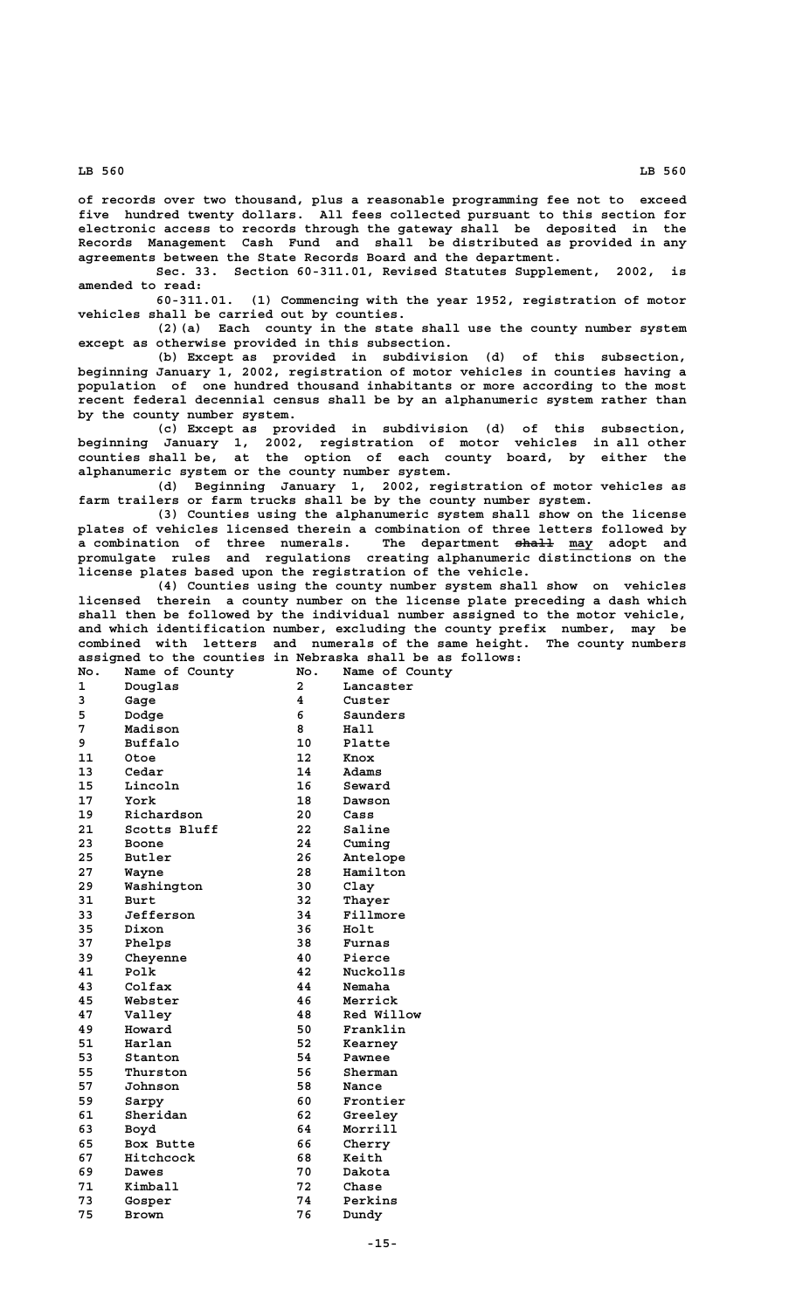**of records over two thousand, plus a reasonable programming fee not to exceed five hundred twenty dollars. All fees collected pursuant to this section for electronic access to records through the gateway shall be deposited in the Records Management Cash Fund and shall be distributed as provided in any agreements between the State Records Board and the department.**

**Sec. 33. Section 60-311.01, Revised Statutes Supplement, 2002, is amended to read:**

**60-311.01. (1) Commencing with the year 1952, registration of motor vehicles shall be carried out by counties.**

**(2)(a) Each county in the state shall use the county number system except as otherwise provided in this subsection.**

**(b) Except as provided in subdivision (d) of this subsection, beginning January 1, 2002, registration of motor vehicles in counties having a population of one hundred thousand inhabitants or more according to the most recent federal decennial census shall be by an alphanumeric system rather than by the county number system.**

**(c) Except as provided in subdivision (d) of this subsection, beginning January 1, 2002, registration of motor vehicles in all other counties shall be, at the option of each county board, by either the alphanumeric system or the county number system.**

**(d) Beginning January 1, 2002, registration of motor vehicles as farm trailers or farm trucks shall be by the county number system.**

**(3) Counties using the alphanumeric system shall show on the license plates of vehicles licensed therein a combination of three letters followed by a combination of three numerals. The department shall may adopt and ————— \_\_\_ promulgate rules and regulations creating alphanumeric distinctions on the license plates based upon the registration of the vehicle.**

**(4) Counties using the county number system shall show on vehicles licensed therein a county number on the license plate preceding a dash which shall then be followed by the individual number assigned to the motor vehicle, and which identification number, excluding the county prefix number, may be combined with letters and numerals of the same height. The county numbers assigned to the counties in Nebraska shall be as follows:**

|              | assigned to the counties in Neblaska shall be as |                 |                |
|--------------|--------------------------------------------------|-----------------|----------------|
| No.          | Name of County                                   | No.             | Name of County |
| $\mathbf{1}$ | Douglas                                          | $\overline{a}$  | Lancaster      |
| 3            | Gage                                             | 4               | Custer         |
| 5            | Dodge                                            | 6               | Saunders       |
| 7            | Madison                                          | 8               | Hall           |
| 9            | <b>Buffalo</b>                                   | 10              | Platte         |
| 11           | Otoe                                             | 12 <sup>2</sup> | Knox           |
| 13           | Cedar                                            | 14              | Adams          |
| 15           | Lincoln                                          | 16              | Seward         |
| 17           | York                                             | 18              | Dawson         |
| 19           | Richardson                                       | 20              | Cass           |
| 21           | Scotts Bluff                                     | 22              | Saline         |
| 23           | Boone                                            | 24              | Cuming         |
| 25           | <b>Butler</b>                                    | 26              | Antelope       |
| 27           | Wayne                                            | 28              | Hamilton       |
| 29           | Washington                                       | 30              | Clay           |
| 31           | Burt                                             | 32              | Thayer         |
| 33           | Jefferson                                        | 34              | Fillmore       |
| 35           | Dixon                                            | 36              | Holt           |
| 37           | Phelps                                           | 38              | Furnas         |
| 39           | Cheyenne                                         | 40              | Pierce         |
| 41           | Polk                                             | 42              | Nuckolls       |
| 43           | Colfax                                           | 44              | Nemaha         |
| 45           | Webster                                          | 46              | Merrick        |
| 47           | Valley                                           | 48              | Red Willow     |
| 49           | Howard                                           | 50              | Franklin       |
| 51           | Harlan                                           | 52              | Kearney        |
| 53           | Stanton                                          | 54              | Pawnee         |
| 55           | Thurston                                         | 56              | Sherman        |
| 57           | Johnson                                          | 58              | Nance          |
| 59           | Sarpy                                            | 60              | Frontier       |
| 61           | Sheridan                                         | 62              | Greeley        |
| 63           | Boyd                                             | 64              | Morrill        |
| 65           | Box Butte                                        | 66              | Cherry         |
| 67           | Hitchcock                                        | 68              | Keith          |
| 69           | Dawes                                            | 70              | Dakota         |
| 71           | Kimball                                          | 72              | Chase          |
| 73           | Gosper                                           | 74              | Perkins        |
| 75           | Brown                                            | 76              | Dundy          |
|              |                                                  |                 |                |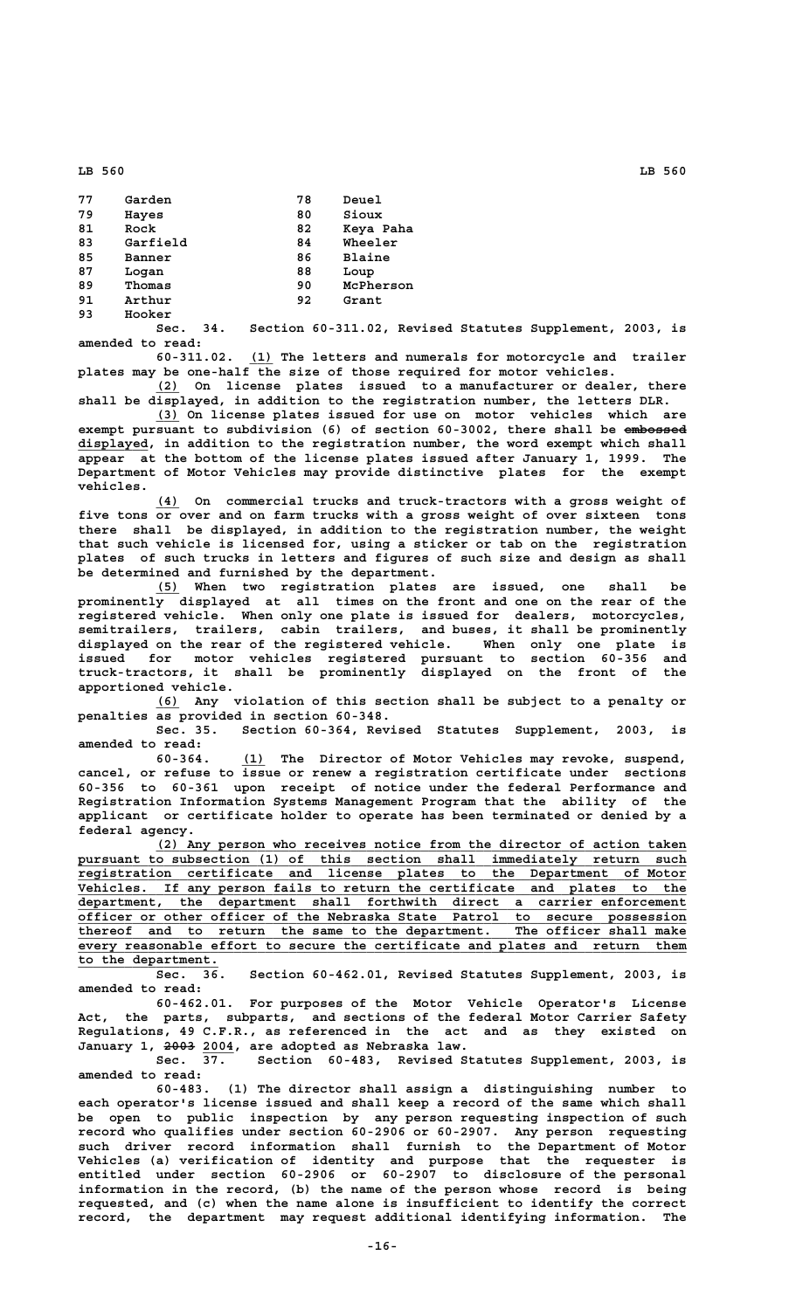| 77 | Garden   | 78 | Deuel         |
|----|----------|----|---------------|
| 79 | Hayes    | 80 | Sioux         |
| 81 | Rock     | 82 | Keya Paha     |
| 83 | Garfield | 84 | Wheeler       |
| 85 | Banner   | 86 | <b>Blaine</b> |
| 87 | Logan    | 88 | Loup          |
| 89 | Thomas   | 90 | McPherson     |
| 91 | Arthur   | 92 | Grant         |
| 93 | Hooker   |    |               |

**Sec. 34. Section 60-311.02, Revised Statutes Supplement, 2003, is amended to read:**

 **\_\_\_ 60-311.02. (1) The letters and numerals for motorcycle and trailer plates may be one-half the size of those required for motor vehicles.**

 **\_\_\_ (2) On license plates issued to a manufacturer or dealer, there shall be displayed, in addition to the registration number, the letters DLR.**

 **\_\_\_ (3) On license plates issued for use on motor vehicles which are** exempt pursuant to subdivision (6) of section 60-3002, there shall be embossed  **\_\_\_\_\_\_\_\_\_ displayed, in addition to the registration number, the word exempt which shall appear at the bottom of the license plates issued after January 1, 1999. The Department of Motor Vehicles may provide distinctive plates for the exempt vehicles.**

 **\_\_\_ (4) On commercial trucks and truck-tractors with a gross weight of five tons or over and on farm trucks with a gross weight of over sixteen tons there shall be displayed, in addition to the registration number, the weight that such vehicle is licensed for, using a sticker or tab on the registration plates of such trucks in letters and figures of such size and design as shall be determined and furnished by the department.**

 **\_\_\_ (5) When two registration plates are issued, one shall be prominently displayed at all times on the front and one on the rear of the registered vehicle. When only one plate is issued for dealers, motorcycles, semitrailers, trailers, cabin trailers, and buses, it shall be prominently displayed on the rear of the registered vehicle. When only one plate is issued for motor vehicles registered pursuant to section 60-356 and truck-tractors, it shall be prominently displayed on the front of the apportioned vehicle.**

 **\_\_\_ (6) Any violation of this section shall be subject to a penalty or penalties as provided in section 60-348.**

**Sec. 35. Section 60-364, Revised Statutes Supplement, 2003, is amended to read:**

 **\_\_\_ 60-364. (1) The Director of Motor Vehicles may revoke, suspend, cancel, or refuse to issue or renew a registration certificate under sections 60-356 to 60-361 upon receipt of notice under the federal Performance and Registration Information Systems Management Program that the ability of the applicant or certificate holder to operate has been terminated or denied by a federal agency.**

 **\_\_\_\_\_\_\_\_\_\_\_\_\_\_\_\_\_\_\_\_\_\_\_\_\_\_\_\_\_\_\_\_\_\_\_\_\_\_\_\_\_\_\_\_\_\_\_\_\_\_\_\_\_\_\_\_\_\_\_\_\_\_\_\_\_\_\_\_ (2) Any person who receives notice from the director of action taken \_\_\_\_\_\_\_\_\_\_\_\_\_\_\_\_\_\_\_\_\_\_\_\_\_\_\_\_\_\_\_\_\_\_\_\_\_\_\_\_\_\_\_\_\_\_\_\_\_\_\_\_\_\_\_\_\_\_\_\_\_\_\_\_\_\_\_\_\_\_\_\_\_\_\_\_\_\_ pursuant to subsection (1) of this section shall immediately return such \_\_\_\_\_\_\_\_\_\_\_\_\_\_\_\_\_\_\_\_\_\_\_\_\_\_\_\_\_\_\_\_\_\_\_\_\_\_\_\_\_\_\_\_\_\_\_\_\_\_\_\_\_\_\_\_\_\_\_\_\_\_\_\_\_\_\_\_\_\_\_\_\_\_\_\_\_\_ registration certificate and license plates to the Department of Motor \_\_\_\_\_\_\_\_\_\_\_\_\_\_\_\_\_\_\_\_\_\_\_\_\_\_\_\_\_\_\_\_\_\_\_\_\_\_\_\_\_\_\_\_\_\_\_\_\_\_\_\_\_\_\_\_\_\_\_\_\_\_\_\_\_\_\_\_\_\_\_\_\_\_\_\_\_\_ Vehicles. If any person fails to return the certificate and plates to the** department, the department shall forthwith direct a carrier enforcement officer or other officer of the Nebraska State Patrol to secure possession thereof and to return the same to the department. The officer shall make  **officer or other officer of the Nebraska State** thereof and to return the same to the department.  **\_\_\_\_\_\_\_\_\_\_\_\_\_\_\_\_\_\_\_\_\_\_\_\_\_\_\_\_\_\_\_\_\_\_\_\_\_\_\_\_\_\_\_\_\_\_\_\_\_\_\_\_\_\_\_\_\_\_\_\_\_\_\_\_\_\_\_\_\_\_\_\_\_\_\_\_\_\_ every reasonable effort to secure the certificate and plates and return them \_\_\_\_\_\_\_\_\_\_\_\_\_\_\_\_\_\_ to the department.**

**Sec. 36. Section 60-462.01, Revised Statutes Supplement, 2003, is amended to read:**

**60-462.01. For purposes of the Motor Vehicle Operator's License Act, the parts, subparts, and sections of the federal Motor Carrier Safety Regulations, 49 C.F.R., as referenced in the act and as they existed on ———— \_\_\_\_ January 1, 2003 2004, are adopted as Nebraska law.**

**Sec. 37. Section 60-483, Revised Statutes Supplement, 2003, is amended to read:**

**60-483. (1) The director shall assign a distinguishing number to each operator's license issued and shall keep a record of the same which shall be open to public inspection by any person requesting inspection of such record who qualifies under section 60-2906 or 60-2907. Any person requesting such driver record information shall furnish to the Department of Motor Vehicles (a) verification of identity and purpose that the requester is entitled under section 60-2906 or 60-2907 to disclosure of the personal information in the record, (b) the name of the person whose record is being requested, and (c) when the name alone is insufficient to identify the correct record, the department may request additional identifying information. The**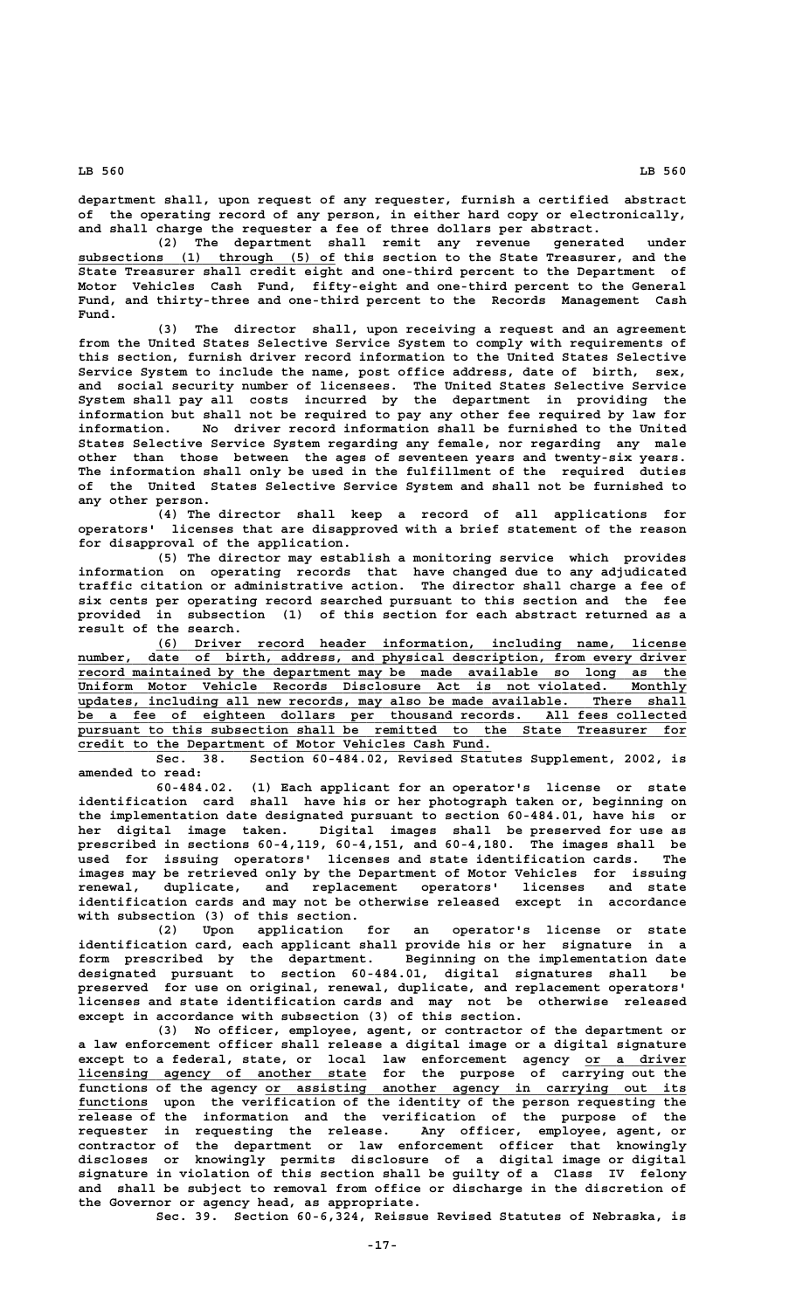**department shall, upon request of any requester, furnish a certified abstract of the operating record of any person, in either hard copy or electronically, and shall charge the requester a fee of three dollars per abstract.**

**(2) The department shall remit any revenue generated under \_\_\_\_\_\_\_\_\_\_\_\_\_\_\_\_\_\_\_\_\_\_\_\_\_\_\_\_\_\_\_\_\_ subsections (1) through (5) of this section to the State Treasurer, and the State Treasurer shall credit eight and one-third percent to the Department of Motor Vehicles Cash Fund, fifty-eight and one-third percent to the General Fund, and thirty-three and one-third percent to the Records Management Cash Fund.**

**(3) The director shall, upon receiving a request and an agreement from the United States Selective Service System to comply with requirements of this section, furnish driver record information to the United States Selective Service System to include the name, post office address, date of birth, sex, and social security number of licensees. The United States Selective Service System shall pay all costs incurred by the department in providing the information but shall not be required to pay any other fee required by law for information. No driver record information shall be furnished to the United States Selective Service System regarding any female, nor regarding any male other than those between the ages of seventeen years and twenty-six years. The information shall only be used in the fulfillment of the required duties of the United States Selective Service System and shall not be furnished to any other person.**

**(4) The director shall keep a record of all applications for operators' licenses that are disapproved with a brief statement of the reason for disapproval of the application.**

**(5) The director may establish a monitoring service which provides information on operating records that have changed due to any adjudicated traffic citation or administrative action. The director shall charge a fee of six cents per operating record searched pursuant to this section and the fee provided in subsection (1) of this section for each abstract returned as a result of the search.**

 **\_\_\_\_\_\_\_\_\_\_\_\_\_\_\_\_\_\_\_\_\_\_\_\_\_\_\_\_\_\_\_\_\_\_\_\_\_\_\_\_\_\_\_\_\_\_\_\_\_\_\_\_\_\_\_\_\_\_\_\_\_\_\_\_\_\_\_\_ (6) Driver record header information, including name, license**  $\frac{number}{data}$ , date of birth, address, and physical description, from every driver  **\_\_\_\_\_\_\_\_\_\_\_\_\_\_\_\_\_\_\_\_\_\_\_\_\_\_\_\_\_\_\_\_\_\_\_\_\_\_\_\_\_\_\_\_\_\_\_\_\_\_\_\_\_\_\_\_\_\_\_\_\_\_\_\_\_\_\_\_\_\_\_\_\_\_\_\_\_\_ record maintained by the department may be made available so long as the \_\_\_\_\_\_\_\_\_\_\_\_\_\_\_\_\_\_\_\_\_\_\_\_\_\_\_\_\_\_\_\_\_\_\_\_\_\_\_\_\_\_\_\_\_\_\_\_\_\_\_\_\_\_\_\_\_\_\_\_\_\_\_\_\_\_\_\_\_\_\_\_\_\_\_\_\_\_ Uniform Motor Vehicle Records Disclosure Act is not violated. Monthly Uniform Motor Vehicle Records Disclosure Act is not violated. Monthly updates, including all new records, may also be made available. There shall \_\_\_\_\_\_\_\_\_\_\_\_\_\_\_\_\_\_\_\_\_\_\_\_\_\_\_\_\_\_\_\_\_\_\_\_\_\_\_\_\_\_\_\_\_\_\_\_\_\_\_\_\_\_\_\_\_\_\_\_\_\_\_\_\_\_\_\_\_\_\_\_\_\_\_\_\_\_ be a fee of eighteen dollars per thousand records. All fees collected \_\_\_\_\_\_\_\_\_\_\_\_\_\_\_\_\_\_\_\_\_\_\_\_\_\_\_\_\_\_\_\_\_\_\_\_\_\_\_\_\_\_\_\_\_\_\_\_\_\_\_\_\_\_\_\_\_\_\_\_\_\_\_\_\_\_\_\_\_\_\_\_\_\_\_\_\_\_ pursuant to this subsection shall be remitted to the State Treasurer for \_\_\_\_\_\_\_\_\_\_\_\_\_\_\_\_\_\_\_\_\_\_\_\_\_\_\_\_\_\_\_\_\_\_\_\_\_\_\_\_\_\_\_\_\_\_\_\_\_\_\_\_\_ credit to the Department of Motor Vehicles Cash Fund.**

**Sec. 38. Section 60-484.02, Revised Statutes Supplement, 2002, is amended to read:**

**60-484.02. (1) Each applicant for an operator's license or state identification card shall have his or her photograph taken or, beginning on the implementation date designated pursuant to section 60-484.01, have his or her digital image taken. Digital images shall be preserved for use as prescribed in sections 60-4,119, 60-4,151, and 60-4,180. The images shall be used for issuing operators' licenses and state identification cards. The images may be retrieved only by the Department of Motor Vehicles for issuing renewal, duplicate, and replacement operators' licenses and state identification cards and may not be otherwise released except in accordance with subsection (3) of this section.**

**(2) Upon application for an operator's license or state identification card, each applicant shall provide his or her signature in a form prescribed by the department. Beginning on the implementation date designated pursuant to section 60-484.01, digital signatures shall be preserved for use on original, renewal, duplicate, and replacement operators' licenses and state identification cards and may not be otherwise released except in accordance with subsection (3) of this section.**

**(3) No officer, employee, agent, or contractor of the department or a law enforcement officer shall release a digital image or a digital signature except to a federal, state, or local law enforcement agency or a driver \_\_\_\_\_\_\_\_\_\_\_\_\_ \_\_\_\_\_\_\_\_\_\_\_\_\_\_\_\_\_\_\_\_\_\_\_\_\_\_\_\_\_\_\_\_\_\_\_\_\_ licensing agency of another state for the purpose of carrying out the \_\_\_\_\_\_\_\_\_\_\_\_\_\_\_\_\_\_\_\_\_\_\_\_\_\_\_\_\_\_\_\_\_\_\_\_\_\_\_\_\_\_\_\_\_\_\_\_\_\_\_\_\_\_ functions of the agency or assisting another agency in carrying out its** functions upon the verification of the identity of the person requesting the **release of the information and the verification of the purpose of the requester in requesting the release. Any officer, employee, agent, or contractor of the department or law enforcement officer that knowingly discloses or knowingly permits disclosure of a digital image or digital signature in violation of this section shall be guilty of a Class IV felony and shall be subject to removal from office or discharge in the discretion of the Governor or agency head, as appropriate.**

**Sec. 39. Section 60-6,324, Reissue Revised Statutes of Nebraska, is**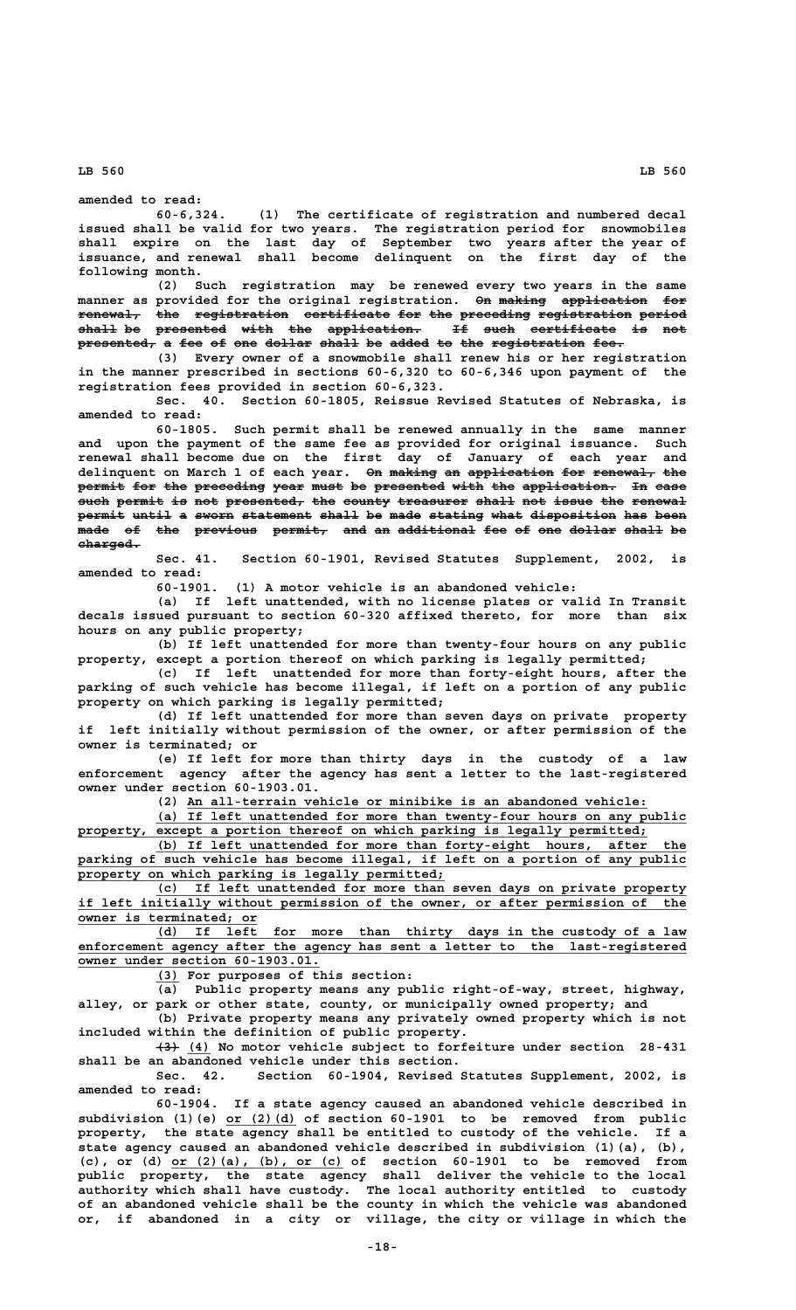**amended to read:**

**60-6,324. (1) The certificate of registration and numbered decal issued shall be valid for two years. The registration period for snowmobiles shall expire on the last day of September two years after the year of issuance, and renewal shall become delinquent on the first day of the following month.**

**(2) Such registration may be renewed every two years in the same** manner as provided for the original registration. On making application for **renewal, the registration certificate for the preceding registration period ———————— ——— ———————————— ——————————— ——— ——— ————————— ———————————— ————— shall be presented with the application. If such certificate is not ————— —— ————————— ———— ——— ———————————— —— ———— ——————————— —— —— presented, a fee of one dollar shall be added to the registration fee. —————————— — ——— —— ——— —————— ————— —— ————— —— ——— ———————————— ————**

**(3) Every owner of a snowmobile shall renew his or her registration in the manner prescribed in sections 60-6,320 to 60-6,346 upon payment of the registration fees provided in section 60-6,323.**

**Sec. 40. Section 60-1805, Reissue Revised Statutes of Nebraska, is amended to read:**

**60-1805. Such permit shall be renewed annually in the same manner and upon the payment of the same fee as provided for original issuance. Such renewal shall become due on the first day of January of each year and** delinquent on March 1 of each year. On making an application for renewal, the permit for the preceding year must be presented with the application. In case such permit is not presented, the county treasurer shall not issue the renewal permit until a sworn statement shall be made stating what disposition has been  $\texttt{made of the previous permitt, and an additional fee of one dollar shall be}$ charged.

**Sec. 41. Section 60-1901, Revised Statutes Supplement, 2002, is amended to read:**

**60-1901. (1) A motor vehicle is an abandoned vehicle:**

**(a) If left unattended, with no license plates or valid In Transit decals issued pursuant to section 60-320 affixed thereto, for more than six hours on any public property;**

**(b) If left unattended for more than twenty-four hours on any public property, except a portion thereof on which parking is legally permitted;**

**(c) If left unattended for more than forty-eight hours, after the parking of such vehicle has become illegal, if left on a portion of any public property on which parking is legally permitted;**

**(d) If left unattended for more than seven days on private property if left initially without permission of the owner, or after permission of the owner is terminated; or**

**(e) If left for more than thirty days in the custody of a law enforcement agency after the agency has sent a letter to the last-registered owner under section 60-1903.01.**

 **\_\_\_\_\_\_\_\_\_\_\_\_\_\_\_\_\_\_\_\_\_\_\_\_\_\_\_\_\_\_\_\_\_\_\_\_\_\_\_\_\_\_\_\_\_\_\_\_\_\_\_\_\_\_\_\_\_\_\_ (2) An all-terrain vehicle or minibike is an abandoned vehicle:**

 **\_\_\_\_\_\_\_\_\_\_\_\_\_\_\_\_\_\_\_\_\_\_\_\_\_\_\_\_\_\_\_\_\_\_\_\_\_\_\_\_\_\_\_\_\_\_\_\_\_\_\_\_\_\_\_\_\_\_\_\_\_\_\_\_\_\_\_\_ (a) If left unattended for more than twenty-four hours on any public** property, except a portion thereof on which parking is legally permitted;

 **\_\_\_\_\_\_\_\_\_\_\_\_\_\_\_\_\_\_\_\_\_\_\_\_\_\_\_\_\_\_\_\_\_\_\_\_\_\_\_\_\_\_\_\_\_\_\_\_\_\_\_\_\_\_\_\_\_\_\_\_\_\_\_\_\_\_\_\_ (b) If left unattended for more than forty-eight hours, after the** parking of such vehicle has become illegal, if left on a portion of any public property on which parking is legally permitted;

 **\_\_\_\_\_\_\_\_\_\_\_\_\_\_\_\_\_\_\_\_\_\_\_\_\_\_\_\_\_\_\_\_\_\_\_\_\_\_\_\_\_\_\_\_\_\_\_\_\_\_\_\_\_\_\_\_\_\_\_\_\_\_\_\_\_\_\_\_ (c) If left unattended for more than seven days on private property \_\_\_\_\_\_\_\_\_\_\_\_\_\_\_\_\_\_\_\_\_\_\_\_\_\_\_\_\_\_\_\_\_\_\_\_\_\_\_\_\_\_\_\_\_\_\_\_\_\_\_\_\_\_\_\_\_\_\_\_\_\_\_\_\_\_\_\_\_\_\_\_\_\_\_\_\_\_ if left initially without permission of the owner, or after permission of the \_\_\_\_\_\_\_\_\_\_\_\_\_\_\_\_\_\_\_\_\_\_\_ owner is terminated; or**

 **\_\_\_\_\_\_\_\_\_\_\_\_\_\_\_\_\_\_\_\_\_\_\_\_\_\_\_\_\_\_\_\_\_\_\_\_\_\_\_\_\_\_\_\_\_\_\_\_\_\_\_\_\_\_\_\_\_\_\_\_\_\_\_\_\_\_\_\_ (d) If left for more than thirty days in the custody of a law \_\_\_\_\_\_\_\_\_\_\_\_\_\_\_\_\_\_\_\_\_\_\_\_\_\_\_\_\_\_\_\_\_\_\_\_\_\_\_\_\_\_\_\_\_\_\_\_\_\_\_\_\_\_\_\_\_\_\_\_\_\_\_\_\_\_\_\_\_\_\_\_\_\_\_\_\_\_ enforcement agency after the agency has sent a letter to the last-registered \_\_\_\_\_\_\_\_\_\_\_\_\_\_\_\_\_\_\_\_\_\_\_\_\_\_\_\_\_\_\_ owner under section 60-1903.01.**

 **\_\_\_ (3) For purposes of this section:**

**(a) Public property means any public right-of-way, street, highway,**

**alley, or park or other state, county, or municipally owned property; and (b) Private property means any privately owned property which is not included within the definition of public property.**

 **——— \_\_\_ (3) (4) No motor vehicle subject to forfeiture under section 28-431 shall be an abandoned vehicle under this section.**

Section 60-1904, Revised Statutes Supplement, 2002, is **amended to read:**

**60-1904. If a state agency caused an abandoned vehicle described in \_\_\_\_\_\_\_\_\_ subdivision (1)(e) or (2)(d) of section 60-1901 to be removed from public property, the state agency shall be entitled to custody of the vehicle. If a state agency caused an abandoned vehicle described in subdivision (1)(a), (b), \_\_\_\_\_\_\_\_\_\_\_\_\_\_\_\_\_\_\_\_\_\_ (c), or (d) or (2)(a), (b), or (c) of section 60-1901 to be removed from public property, the state agency shall deliver the vehicle to the local authority which shall have custody. The local authority entitled to custody of an abandoned vehicle shall be the county in which the vehicle was abandoned or, if abandoned in a city or village, the city or village in which the**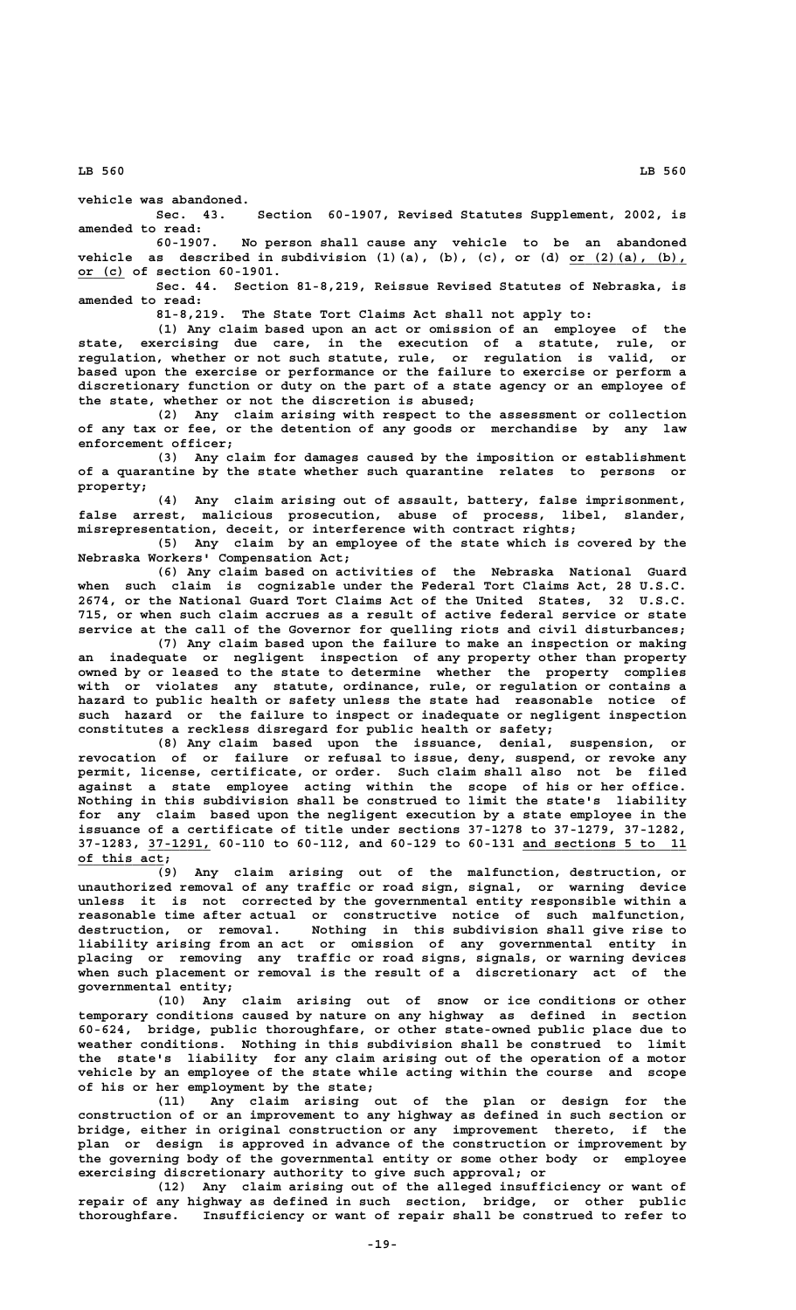**vehicle was abandoned.**

**Sec. 43. Section 60-1907, Revised Statutes Supplement, 2002, is amended to read:**

**60-1907. No person shall cause any vehicle to be an abandoned** vehicle as described in subdivision (1)(a), (b), (c), or (d) or (2)(a), (b),  **\_\_\_\_\_\_ or (c) of section 60-1901.**

**Sec. 44. Section 81-8,219, Reissue Revised Statutes of Nebraska, is amended to read:**

**81-8,219. The State Tort Claims Act shall not apply to:**

**(1) Any claim based upon an act or omission of an employee of the state, exercising due care, in the execution of a statute, rule, or regulation, whether or not such statute, rule, or regulation is valid, or based upon the exercise or performance or the failure to exercise or perform a discretionary function or duty on the part of a state agency or an employee of the state, whether or not the discretion is abused;**

**(2) Any claim arising with respect to the assessment or collection of any tax or fee, or the detention of any goods or merchandise by any law enforcement officer;**

**(3) Any claim for damages caused by the imposition or establishment of a quarantine by the state whether such quarantine relates to persons or property;**

**(4) Any claim arising out of assault, battery, false imprisonment, false arrest, malicious prosecution, abuse of process, libel, slander, misrepresentation, deceit, or interference with contract rights;**

**(5) Any claim by an employee of the state which is covered by the Nebraska Workers' Compensation Act;**

**(6) Any claim based on activities of the Nebraska National Guard when such claim is cognizable under the Federal Tort Claims Act, 28 U.S.C. 2674, or the National Guard Tort Claims Act of the United States, 32 U.S.C. 715, or when such claim accrues as a result of active federal service or state service at the call of the Governor for quelling riots and civil disturbances;**

**(7) Any claim based upon the failure to make an inspection or making an inadequate or negligent inspection of any property other than property owned by or leased to the state to determine whether the property complies with or violates any statute, ordinance, rule, or regulation or contains a hazard to public health or safety unless the state had reasonable notice of such hazard or the failure to inspect or inadequate or negligent inspection constitutes a reckless disregard for public health or safety;**

**(8) Any claim based upon the issuance, denial, suspension, or revocation of or failure or refusal to issue, deny, suspend, or revoke any permit, license, certificate, or order. Such claim shall also not be filed against a state employee acting within the scope of his or her office. Nothing in this subdivision shall be construed to limit the state's liability for any claim based upon the negligent execution by a state employee in the issuance of a certificate of title under sections 37-1278 to 37-1279, 37-1282, \_\_\_\_\_\_\_\_ \_\_\_\_\_\_\_\_\_\_\_\_\_\_\_\_\_\_\_\_\_ 37-1283, 37-1291, 60-110 to 60-112, and 60-129 to 60-131 and sections 5 to 11 \_\_\_\_\_\_\_\_\_\_\_ of this act;**

**(9) Any claim arising out of the malfunction, destruction, or unauthorized removal of any traffic or road sign, signal, or warning device unless it is not corrected by the governmental entity responsible within a reasonable time after actual or constructive notice of such malfunction, destruction, or removal. Nothing in this subdivision shall give rise to liability arising from an act or omission of any governmental entity in placing or removing any traffic or road signs, signals, or warning devices when such placement or removal is the result of a discretionary act of the governmental entity;**

**(10) Any claim arising out of snow or ice conditions or other temporary conditions caused by nature on any highway as defined in section 60-624, bridge, public thoroughfare, or other state-owned public place due to weather conditions. Nothing in this subdivision shall be construed to limit the state's liability for any claim arising out of the operation of a motor vehicle by an employee of the state while acting within the course and scope of his or her employment by the state;**

**(11) Any claim arising out of the plan or design for the construction of or an improvement to any highway as defined in such section or bridge, either in original construction or any improvement thereto, if the plan or design is approved in advance of the construction or improvement by the governing body of the governmental entity or some other body or employee exercising discretionary authority to give such approval; or**

**(12) Any claim arising out of the alleged insufficiency or want of repair of any highway as defined in such section, bridge, or other public thoroughfare. Insufficiency or want of repair shall be construed to refer to**